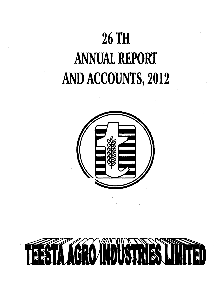# **26 TH ANNUAL REPORT AND ACCOUNTS, 2012**



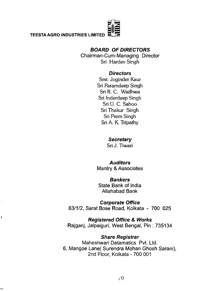## *BOARD OF DIRECTORS*

Chairman-Cum-Managing Director **Sri Hardev Singh**

## *Directors*

**Smt. Joginder Kaur Sri Paramdeep Singh Sri R. C. Wadhwa Sri Inderdeep Singh Sri U. C. Sahoo Sri Thakur Singh Sri Prem Singh Sri A. K. Tripathy**

## *Secretary*

**Sri J. Tiwari**

## *Auditors*

Mantry & Associates

## *Bankers*

State Bank of India Allahabad Bank

*Corporate Office* 63/1/2, Sarat Bose Road, Kolkata - 700 025

*Registered Office & Works* Rajganj, Jalpaiguri, West Bengal, Pin : 735134

## *Share Registrar*

Maheshwari Datamatics Pvt. Ltd. 6, Mangoe Lane( Surendra Mohan Ghosh Sarani), 2nd Floor, Kolkata - 700 001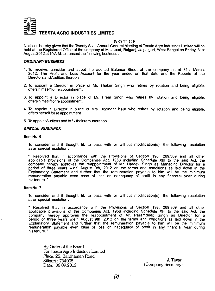

#### **NOTICE**

Notice is hereby given that the Twenty Sixth Annual General Meeting of Teesta Agro Industries Limited will be held at the Registered Office of the company at Mazabari, Rajganj, Jalpaiguri, West Bengal on Friday, 31st August 2012 at 10 A.M. to transact the following business :

#### *ORDINARY BUSINESS*

- 1. To receive, consider and adopt the audited Balance Sheet of the company as at 31st March. 2012, The Profit and Loss Account for the year ended on that date and the Reports of the Directors and Auditors thereon.
- 2. To appoint a Director in place of Mr. Thakur Singh who retires by rotation and being eligible, offers himself for re appointment.
- 3. To appoint a Director in place of Mr. Prem Singh who retires by rotation and being eligible. offers himself for re appointment.
- 4. To appoint a Director in place of Mrs. Joginder Kaur who retires by rotation and being eligible, offers herself for re appointment.
- **5. To appoint Auditors and to fix their remuneration**

#### *SPECIAL BUSINESS*

#### **Item No. 6**

To consider and if thought fit, to pass with or without modification(s), the following resolution as an special resolution :

**"** Resolved that in accordance with the Provisions of Section 198, 269,309 and all other applicable provisions of the Companies Act, 1956 including Schedule XIII to the said Act, the company hereby approves the reappointment of Mr. Hardev Singh as Managing Director for a period of three years w.e.f. August 9th, 2012 on the terms and conditions as laid down in the Explanatory Statement and further that the remuneration payable to him will be the minimum remuneration payable even case of loss or inadequacy of profit in any financial year during his tenure."

#### **Item No. 7**

To consider and if thought fit, to pass with or without modification(s), the following resolution as an special resolution :

**"** Resolved that in accordance with the Provisions of Section 198, 269,309 and all other applicable provisions of the Companies Act, 1956 including Schedule XIII to the said Act, the company hereby approves the reappointment of Mr. Paramdeep Singh as Director for a period of three years w.e.f. August 9th, 2012 on the terms and conditions as laid down in the Explanatory Statement and further that the remuneration payable to him will be the minimum remuneration payable even case of loss or inadequacy of profit in any financial year during his tenure.'

By Order of the Board For Teesta Agro Industries Limited Place; 25, Bardhaman Road Siliguri; 734005 J- Tiwari

(Company Secretary)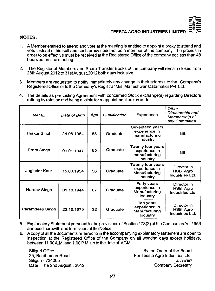

#### NOTES:

- **1. A Member entitled to attend and vote at the meeting is entitled to appoint a proxy to attend and vote instead of himself and such proxy need not be a member of the company. The proxies in order to be effective must be received at the Registered Office ofthe company not less than 48 hours before the meeting.**
- **2. The Register of Members and Share Transfer Books of the company will remain closed from 28th August,2012 to 31 st August,2012 both days inclusive.**
- **3. Members are requested to notify immediately any change in their address to the Company's Registered Office orto the Company's Registrar M/s. Maheshwari Datamatics Pvt. Ltd.**
- **4. The details as per Listing Agreement with concerned Stock exchange(s) regarding Directors retiring by rotation and being eligible for reappointment are as under**

| <b>NAME</b>         | Date of Birth | Age | Qualification | Experience                                                      | Other<br>Directorship and<br>Membership of<br>any Committee |
|---------------------|---------------|-----|---------------|-----------------------------------------------------------------|-------------------------------------------------------------|
| <b>Thakur Singh</b> | 24.08.1954    | 58  | Graduate      | Seventeen years<br>experience in<br>manufacturing<br>industry   | <b>NIL</b>                                                  |
| Prem Singh          | 01.01.1947    | 65  | Graduate      | Twenty four years<br>experience in<br>manufacturing<br>industry | <b>NIL</b>                                                  |
| Joginder Kaur       | 15.03.1954    | 58  | Graduate      | Twenty four years<br>experience in<br>Manufacturing<br>Industry | Director in<br>HSB Agro<br>Industries Ltd.                  |
| <b>Hardev Singh</b> | 01.10.1944    | 67  | Graduate      | Forty years<br>experience in<br>Manufacturing<br>Industry       | Director in<br>HSB Agro<br>Industries Ltd.                  |
| Paramdeep Singh     | 22.10.1979    | 32  | Graduate      | Ten years<br>experience in<br>Manufacturing<br>Industry         | Director in<br>HSB Agro<br>Industries Ltd.                  |

- **5. Explanatory Statement pursuant to the provisions of Section 173(2) of the Companies Act 1956 annexed herewith and forms part ofthe Notice.**
- **6. A copy of all the documents referred to in the accompanying explanatory statement are open to inspection at the Registered Cffice of the Company on all working days except holidays, between 11.00 A.M. and 1.00 P.M. up to the date of AGM .**

**Siliguri Cffice 25, Bardhaman Road Siliguri - 734005 Date : The 2nd August, 2012**

**By the Crder of the Board For Teesta Agro Industries Ltd.** *J.T iw a ri* **Company Secretary**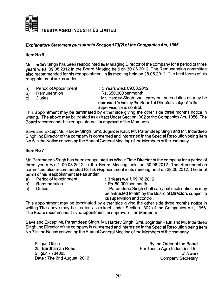

#### *Explanatory Statement pursuant to Section 173(2) ofthe CompaniesAct, 1956.*

#### **Item No 6**

**Mr. Hardev Singh has been reappointed as Managing Directorofthe company for a period of three years w.e.f. 09.08.2012 in the Board Meeting held on 30.06.2012. The Remuneration committee also recommended for his reappointment in its meeting held on 28.06.2012. The brief terms of his reappointment are as under:**

- a) Period of Appointment : 3 Years w.e.f. 09.08.2012<br>b) Remuneration : Rs. 650.000 per month
	-
- 
- 
- **b)** Remuneration : Rs. 650,000 per month<br>
c) Duties : Mr. Hardev Singh shall **c**: Mr. Hardev Singh shall carry out such duties as may be **entrusted to him by the Board of Directors subject fo its supervision and control.**

**This appointment may be terminated by either side giving the other side three months notice in writing. The above may be treated as extract Under Section 302 ofthe CompaniesAct, 1956. The Board recommends his reappointment for approval ofthe Members.**

**Save and Except Mr. Hardev Singh, Smt. Joginder Kaur, Mr. Paramdeep Singh and Mr. Inderdeep Singh, no Directorofthe company is concerned and interested in the Special Resolution being Item No.6 in the Notice convening the Annual General Meeting ofthe Members ofthe company.**

#### **Item No 7**

**Mr. Paramdeep Singh has been reappointed as VVhole Time Director ofthe company for a period of three years w.e.f. 09.08.2012 in the Board Meeting held on 30.06.2012. The Remuneration committee also recommended for his reappointment in its meeting held on 28.06.2012. The brief terms of his reappointment are as under:**

- **a)** Period of Appointment : 3 Years w.e.f. 09.08.2012<br> **b)** Remuneration : Rs. 50,000 per month
- 
- 
- 
- **b)** Remuneration : Rs. 50,000 per month<br> **c)** Duties : Paramdeep Singh sh

: Paramdeep Singh shall carry out such duties as may **be entrusted to him by the Board of Directors subject to its supervision and control.**

**This appointment may be terminated by either side giving the other side three months notice in writing.The above may be treated as extract Under Section 302 of the Companies Act, 1956. The Board recommends his reappointment for approval ofthe Members.**

**Save and Except Mr. Paramdeep Singh, Mr. Hardev Singh, Smt. Joginder Kaur, and Mr. Inderdeep Singh, no Director ofthe company is concerned and interested in the Special Resolution being Item No.7 in the Notice convening the Annual General Meeting ofthe Members ofthe company.**

Date : The 2nd August, 2012

Siliguri Office **By the Order of the Board**<br>25. Bardhaman Road **By the Order of the Board**<br>19. Bardhaman Road **By the Conductries** Etc. **25, Por Teesta Agro Industries Ltd.**<br>**2. Tiwari Siliguri - 734005** *J.Tiwari*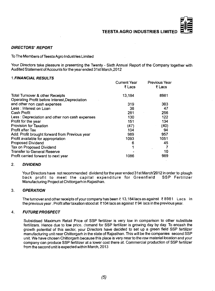

#### **DIRECTORS' REPORT**

To The Members of Teesta Agro Industries Limited

Your Directors take pleasure in presenting the Twenty - Sixth Annual Report of the Company together with Audited Statement of Accounts for the year ended 31 st March,2012

#### 1 *FINANCIAL RESULTS*

| Current Year<br>₹ Lacs | <b>Previous Year</b><br>₹ Lacs |
|------------------------|--------------------------------|
| 13,184                 | 8981                           |
|                        |                                |
| 319                    | 303                            |
| 38                     | 47                             |
| 281                    | 256                            |
| 130                    | 122                            |
| 151                    | 134                            |
| (47)                   | (40)                           |
| 104                    | 94                             |
| 989                    | 957                            |
| 1093                   | 1051                           |
| 6                      | 45                             |
|                        |                                |
|                        | 10                             |
| 1086                   | 989                            |
|                        |                                |

#### 2. *DIVIDEND*

Your Directors have not recommended dividend for the year ended 31st March'2012 in order to plough back profit to meet the capital expenditure for Greenfield SSP Fertilizer Manufacturing Project at Chittorgarh in Rajasthan.

#### 3. *OPERATION*

The turnover and other receipts of your company has been  $\bar{\tau}$  13,184 lacs as against  $\bar{\tau}$  8981 Lacs in the previous year. Profit after taxation stood at ? 104 lacs as against ? 94 lacs in the previous year.

#### 4. *FUTURE PROSPECT*

Subsidised Maximum Retail Price of SSP fertilizer is very low in comparison to other substitute fertilizers. Hence due to low price, demand for SSP fertilizer is growing day by day. To encash the growth potential of this sector, your Directors have decided to set up a green field SSP fertilizer manufacturing unit near Chittorgarh in the state of Rajasthan. This will be the companies second SSP unit. We have chosen Chittorgarh because this place is very near to the raw material location and your company can produce SSP fertilizer at a lower cost there at. Commercial production of SSP fertilizer from the second unit is expected within March, 2013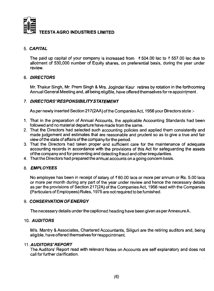

#### 5. *CAPITAL*

The paid up capital of your company is increased from  $\bar{\tau}$  504.00 lac to  $\bar{\tau}$  557.00 lac due to allotment of 530,000 number of Equity shares, on preferential basis, during the year under review.

#### 6. *DIRECTORS*

Mr. Thakur Singh, Mr. Prem Singh & Mrs. Joginder Kaur retires by rotation in the forthcoming Annual General Meeting and, all being eligible, have offered themselves for re appointment.

#### 7. *DIRECTORS'RESPONSIBILITY STATEMENT*

As per newly inserted Section 217(2AA) of the Companies Act, 1956 your Directors state :-

- 1. That in the preparation of Annual Accounts, the applicable Accounting Standards had been followed and no material departure have made from the same.
- 2. That the Directors had selected such accounting policies and applied them consistently and made judgement and estimates that are reasonable and prudent so as to give a true and fair view of the state of affairs of the company for the period.
- 3. That the Directors had taken proper and sufficient care for the maintenance of adequate accounting records in accordance wrth the provisions of this Act for safeguarding the assets ofthe company and for preventing and detecting fraud and other irregularities.
- 4. That the Directors had prepared the annual accounts on a going concern basis.

#### 8. *EM PLO YEES*

No employee has been in receipt of salary of  $\bar{\epsilon}$  60.00 lacs or more per annum or Rs. 5.00 lacs or more per month during any part of the year under review and hence the necessary details as per the provisions of Section 217(2A) of the Companies Act, 1956 read with the Companies (Particulars of Employees) Rules, 1975 are not required to be furnished.

#### 9. **CONSERVATION OF ENERGY**

The necessary details under the captioned heading have been given as per Annexure A.

#### 10. *AUDITORS*

M/s. Mantry & Associates, Chartered Accountants, Siliguri are the retiring auditors and, being eligible, have offered themselves for reappointment.

#### *M. AUDITORS'REPORT*

The Auditors' Report read with relevant Notes on Accounts are self explanatory and does not call forfurther clarification.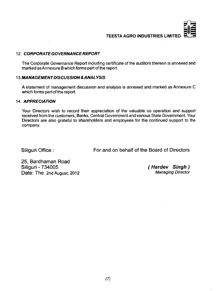

### **12.** *CORPORATE GOVERNANCE REPORT*

The Corporate Governance Report including certificate of the auditors thereon is annexed and marked as Annexure B which forms part of the report

#### **1***3.MANAGEMENT DISCUSSION & ANALYSIS*

A statement of management discussion and analysis is annexed and marked as Annexure C which forms part of the report.

#### 14. *APPRECIATION*

Your Directors wish to record their appreciation of the valuable co operation and support received from the customers, Banks, Central Government and various State Government. Your Directors are also grateful to shareholders and employees for the continued support to the company.

Siliguri Office : For and on behalf of the Board of Directors

25, Bardhaman Road<br>Siliguri - 734005 Date: The 2nd August, 2012

**( Hardev Singh )**<br>Managing Director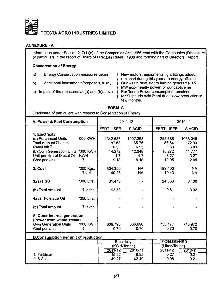

#### **ANNEXURE-A**

Information under Section 217(1)(e) of the Companies Act, 1956 read with the Companies (Disclosure **of particulars in the report of Board of Directors Rules), 1988 and forming part of Directors 'Report**

#### **Conservation of Energy**

- **a) Energy Conservation measures taken } New motors, equipments light fittings added/**
- 
- c) Impact of the measures at (a) and (b)above

**} replaced during this year are energy efficient** b) Additional Investments/proposals, if any <br>MW eco-friendly power for our captive ne<br> **b** MW eco-friendly power for our captive ne **} MW eco-friendly power for our captive ne } for Sulphuric Acid Plant due to low production in few months.**

|                                                                  | <b>FORM A</b> |  |
|------------------------------------------------------------------|---------------|--|
| Disclosure of particulars with respect to Conservation of Energy |               |  |

| A. Power & Fuel Consumption                                                                                                                                         |                            |                                                    | 2011-12                                            |                                                      | 2010-11                                              |
|---------------------------------------------------------------------------------------------------------------------------------------------------------------------|----------------------------|----------------------------------------------------|----------------------------------------------------|------------------------------------------------------|------------------------------------------------------|
|                                                                                                                                                                     |                            | <b>FERTILISER</b>                                  | S.ACID                                             | <b>FERTILISER</b>                                    | S.ACID                                               |
| 1. Electricity<br>(a) Purchased Units<br>Total Amount ₹ Lakhs<br>Rate/Unit ₹<br>(b) Own Generation Units '000 KWH<br>Unit per litre of Diesel Oil<br>Cost per Unit. | 000 KWH<br><b>KWH</b><br>₹ | 1342.637<br>87.63<br>6.53<br>14.272<br>4.7<br>9.18 | 1007.263<br>65.75<br>6.53<br>12.048<br>4.7<br>9.18 | 1252.688<br>85.54<br>6.83<br>15.272<br>3.27<br>12.05 | 1068.045<br>72.93<br>6.83<br>11.777<br>3.27<br>12.05 |
| 2. Coal                                                                                                                                                             | '000 Kgs.<br>₹ lakhs       | 604.350<br>40.28                                   | <b>NA</b><br><b>NA</b>                             | 199.400<br>10.43                                     | <b>NA</b><br><b>NA</b>                               |
| $3.(a)$ HSD                                                                                                                                                         | '000 Ltrs.                 | 31.475                                             |                                                    | 24.363                                               | 8.400                                                |
| (b) Total Amount                                                                                                                                                    | ₹ lakhs                    | 13.58                                              |                                                    | 9.61                                                 | 3.32                                                 |
| 4.(a) Furnace Oil                                                                                                                                                   | '000 Ltrs.                 |                                                    |                                                    |                                                      |                                                      |
| (b) Total Amount                                                                                                                                                    | ₹ lakhs                    |                                                    |                                                    |                                                      |                                                      |
| 5. Other internal generation<br>(Power from waste steam)                                                                                                            |                            |                                                    |                                                    |                                                      |                                                      |
| <b>Own Generation Units</b>                                                                                                                                         | '000 KWH                   | 609.790                                            | 666.690                                            | 753.177                                              | 743.972                                              |
| Cost per Unit                                                                                                                                                       | ₹                          | 0.70                                               | 0.70                                               | 0.70                                                 | 0.70                                                 |
| <b>B.Consumption per unit of production</b>                                                                                                                         |                            |                                                    |                                                    |                                                      |                                                      |
|                                                                                                                                                                     |                            | Electricity                                        |                                                    | F.Oil/LDO/HSD                                        |                                                      |
|                                                                                                                                                                     |                            | (KWH/Tonne)                                        |                                                    | (Litres/Tonne)                                       |                                                      |
|                                                                                                                                                                     |                            | 2011-12                                            | 2010-11                                            | 2011-12                                              | 2010-11                                              |

|               | 2011-12 | 20 I UT | 2 U I I - I 2 | ויטו         |
|---------------|---------|---------|---------------|--------------|
| 1. Fertiliser | 15.22   | 16.92   | 0.27          | ו הח<br>U.Z  |
| 2. S.Acid     | 49.27   | 42.49   | 0.08          | ∩ ጋ 1<br>v.z |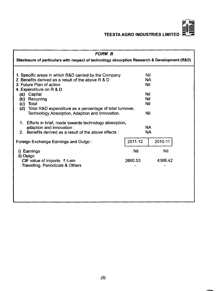

| <b>FORM B</b>                                                                                                                                                                                                                                                                                                                               |                                                     |         |
|---------------------------------------------------------------------------------------------------------------------------------------------------------------------------------------------------------------------------------------------------------------------------------------------------------------------------------------------|-----------------------------------------------------|---------|
| Disclosure of particulars with respect of technology absorption Research & Development (R&D)                                                                                                                                                                                                                                                |                                                     |         |
| 1. Specific areas in which R&D carried by the Company<br>2. Benefits derived as a result of the above R & D<br>3. Future Plan of action<br>4. Expenditure on R & D<br>(a) Capital<br>Recurring<br>(b)<br>Total<br>(c)<br>(d)<br>Total R&D expenditure as a percentage of total turnover,<br>Technology Absorption, Adaption and Innovation. | Nil<br><b>NA</b><br>Nil<br>Nil<br>Nil<br>Nil<br>Nil |         |
| 1. Efforts in brief, made towards technology absorption,<br>adaption and innovation :<br>2. Benefits derived as a result of the above effects:                                                                                                                                                                                              | <b>NA</b><br><b>NA</b>                              |         |
| Foreign Exchange Earnings and Outgo:                                                                                                                                                                                                                                                                                                        | 2011-12                                             | 2010-11 |
| i) Earnings                                                                                                                                                                                                                                                                                                                                 | <b>Nil</b>                                          | Nil     |
| ii) Outgo<br>CIF value of imports ₹ /Lakh<br><b>Travelling, Periodicals &amp; Others</b>                                                                                                                                                                                                                                                    | 2660.53                                             | 4386.42 |
|                                                                                                                                                                                                                                                                                                                                             |                                                     |         |
|                                                                                                                                                                                                                                                                                                                                             |                                                     |         |
|                                                                                                                                                                                                                                                                                                                                             |                                                     |         |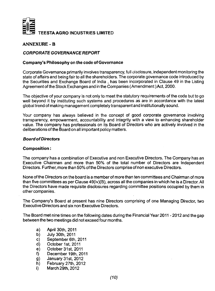

#### **ANNEXURE - B**

#### *CORPORATE GOVERNANCE REPORT*

#### **Company's Philosophy on the code of Governance**

Corporate Governance primarily involves transparency, full disclosure, independent monitoring the state of affairs and being fair to all the shareholders. The corporate governance code introduced by the Securities and Exchange Board of India , has been incorporated in Clause 49 in the Listing Agreement of the Stock Exchanges and in the Companies (Amendment) Act, 2000.

The objective of your company is not only to meet the statutory requirements of the code but to go well beyond it by instituting such systems and procedures as are in accordance with the latest global trend of making management completely transparent and institutionally sound.

Your company has always believed in the concept of good corporate governance involving transparency, empowerment, accountability and integrity with a view to enhancing shareholder value. The company has professionals on its Board of Directors who are actively involved in the deliberations of the Board on all important policy matters.

#### *Board of Directors*

#### **Composition:**

The company has a combination of Executive and non Executive Directors. The Company has an Executive Chairman and more than 50% of the total number of Directors are Independent Directors. Further, more than 50% of the Directors comprise of non executive Directors.

None of the Directors on the board is a member of more than ten committees and Chairman of more than five committees as per Clause 49(iv)(B), across all the companies in which he is a Director. All the Directors have made requisite disclosures regarding committee positions occupied by them in other companies.

The Company's Board at present has nine Directors comprising of one Managing Director, two Executive Directors and six non Executive Directors.

The Board met nine times on the following dates during the Financial Year 2011 - 2012 and the gap between the two meetings did not exceed four months.

- a) April 30th, 2011
- b) July 30th, 2011
- c) September 6th, 2011
- d) October 1st, 2011
- e) O ctober 31st, 2011
- f) Decem ber 19th, 2011
- g) January 31st, 2012
- h) February 27th, 2012
- i) March 29th, 2012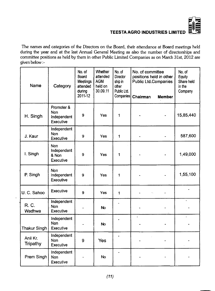

**The names and categories of the Directors on the Board, their attendance at Board meetings held during the year and at the last Annual General Meeting as also the number of directorships and committee positions as held by them in other Public Limited Companies as on March 31st, 2012 are given below**

| Name                        | Category                                        | No. of<br>Board<br>Meetings<br>attended<br>during<br>2011-12 | Whether<br>attended<br><b>AGM</b><br>held on<br>30.09.11 | No. of<br>Director<br>ship in<br>other<br>Public Ltd.<br>Companies | No. of committee<br>positions held in other<br><b>Public Ltd.Companies</b><br>Chairman | <b>Member</b> | No. of<br>Equity<br>Share held<br>in the<br>Company |
|-----------------------------|-------------------------------------------------|--------------------------------------------------------------|----------------------------------------------------------|--------------------------------------------------------------------|----------------------------------------------------------------------------------------|---------------|-----------------------------------------------------|
| H. Singh                    | Promoter &<br>Non<br>Independent<br>Executive   | 9                                                            | Yes                                                      | 1                                                                  |                                                                                        |               | 15,85,440                                           |
| J. Kaur                     | Independent<br><b>Non</b><br>Executive          | 9                                                            | Yes                                                      | $\mathbf{1}$                                                       |                                                                                        |               | 587,600                                             |
| I. Singh                    | <b>Non</b><br>Independent<br>& Non<br>Executive | 9                                                            | Yes                                                      | 1                                                                  |                                                                                        |               | 1,49,000                                            |
| P. Singh                    | <b>Non</b><br>Independent<br>Executive          | 9                                                            | Yes                                                      | 1                                                                  |                                                                                        |               | 1,55,100                                            |
| U. C. Sahoo                 | Executive                                       | 9                                                            | Yes                                                      | 1                                                                  |                                                                                        |               |                                                     |
| R. C.<br>Wadhwa             | Independent<br><b>Non</b><br>Executive          |                                                              | <b>No</b>                                                |                                                                    |                                                                                        |               |                                                     |
| <b>Thakur Singh</b>         | Independent<br><b>Non</b><br>Executive          |                                                              | <b>No</b>                                                |                                                                    |                                                                                        |               |                                                     |
| Anil Kr.<br><b>Tripathy</b> | Independent<br>Non<br>Executive                 | 9                                                            | Yes                                                      |                                                                    |                                                                                        |               |                                                     |
| Prem Singh                  | Independent<br>Non<br>Executive                 |                                                              | <b>No</b>                                                |                                                                    |                                                                                        |               |                                                     |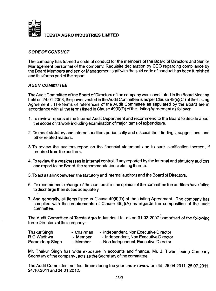

#### *CODE OF CONDUCT*

**The company has framed a code of conduct for the members of the Board of Directors and Senior Management personnel of the company. Requisite declaration by CEO regarding compliance by the Board Members and senior Management staff with the said code of conduct has been furnished and this forms part of the report.**

#### *AUDIT COMMITTEE*

**TheAudit Committee ofthe Board of Directors ofthe company was constituted in the Board Meeting held on 24.01.2003, the power vested in theAudit Committee is as'per Clause 49(ii)(C) ofthe Listing Agreement. The terms of references of the Audit Committee as stipulated by the Board are in accordance with all the terms listed in Clause 49(ii)(D) ofthe Listing Agreement as follows;**

- **1. To review reports ofthe Internal Audit Department and recommend to the Board to decide about the scope of its work including examination of major items of expenditure.**
- **2. To meet statutory and internal auditors periodically and discuss their findings, suggestions, and other related matters.**
- **3 To review the auditors report on the financial statement and to seek clarification thereon, if required from the auditors.**
- **4. To review the weaknesses in internal control, if any reported by the internal and statutory auditors and report to the Board, the recommendations relating thereto.**
- **5. To act as a link between the statutory and internal auditors and the Board of Directors.**
- **6. To recommend a change ofthe auditors if in the opinion ofthe committee the auditors have failed to discharge their duties adequately.**
- **7. And generally, all items listed in Clause 49(ii)(D) of the Listing Agreement. The company has complied with the requirements of Clause 49(i)(A) as regards the composition of the audit committee.**

**The Audit Committee of Teesta Agro Industries Ltd. as on 31.03.2007 comprised of the following** three Directors of the company :-

| <b>Thakur Singh</b> | - Chairman | - Independent, Non Executive Director |
|---------------------|------------|---------------------------------------|
| R.C.Wadhwa          | - Member   | - Independent, Non Executive Director |
| Paramdeep Singh     | - Member   | - Non Independent, Executive Director |

**Mr. Thakur Singh has wide exposure in accounts and finance, Mr. J. Tiwari, being Company** Secretary of the company, acts as the Secretary of the committee.

The Audit Committee met four times during the year under review on dtd. 25.04.2011, 25.07.2011, **24.10.2011 and24.01.2012.**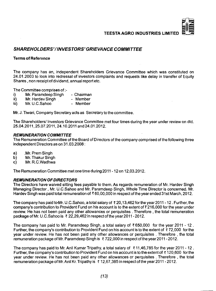## *SHAREHOLDERS'/INVESTORS'GRIEVANCE COMMITTEE*

#### **Terms of Reference**

**The company has an, independent Shareholders Grievance Committee which was constituted on 24.01.2003 to look into redressal of investors complaints and requests like delay in transfer of Equity Shares, non receipt of dividend, annual report etc.**

**The Committee comprises of :-**<br>i) Mr. Paramdeep Singh

- **i) Mr. Paramdeep Singh Chairman**
- **ii) Mr. Hardev Singh Member**<br>**iii) Mr. U.C. Sahoo Member**
- Mr. U.C.Sahoo

**Mr. J. Tiwari, Company Secretary acts as Secretary to the committee.**

**The Shareholders/ Investors Grievance Committee met four times during the year under review on dtd. 25.04.2011,25.07.2011,24.10.2011 and24.01.2012.**

#### *REMUNERATION COMMITTEE*

**The Remuneration Committee ofthe Board of Directors ofthe company comprised ofthe following three independent Directors as on 31.03.2008;**

- **a) .Mr. Prem Singh**
- **b) Mr. Thakur Singh**
- **c) Mr. R.C.Wadhwa**

**The Remuneration Committee met one time during 2011 - 12on 12,03.2012.**

#### *REMUNERATION OF DIRECTORS*

**The Directors have waived sitting fees payable to them. As regards remuneration of Mr. Hardev Singh Managing Director, Mr. U.C.Sahoo and Mr. Paramdeep Singh, Whole Time Director is concerned. Mr. Hardev Singh was paid total remuneration of ? 60,00,000 in respect ofthe year ended 31 st March, 2012.**

**The company has paid to-Mr. U.C.Sahoo, a total salary of ? 20,13,462 for the year 2011 -12. Further, the company's contribution to Provident Fund on his account is to the extent of ? 216,000 for the year under review. He has not been paid any other allowances or perquisites . Therefore , the total remuneration packageofMr. U.C.Sahoo is ? 22,29,462 in respectoftheyear2011 -2012.**

**The company has paid to Mr. Paramdeep Singh, a total salary of ? 650,000 for the year 2011 - 12 . Further, the company's contribution to Provident Fund on his account is to the extent of ? 72,000 for the year under review. He has not been paid any other allowances or perquisites . Therefore , the total remunerationpackageof Mr. Paramdeep Singh is ? 722,000 in respect ofthe year2011 -2012.**

**The company has paid to Mr. Anil Kumar Tripathy, a total salary of ? 11,46,785 for the year 2011 -12 . Further, the company's contribution to Provident Fund on his account is to the extent of ? 120,600 for the year under review. He has not been paid any other allowances or perquisites . Therefore , the total remuneration packageofMr.AnilKr.Tripathy is ? 12,67,385 in respect ofthe year2011 -2012.**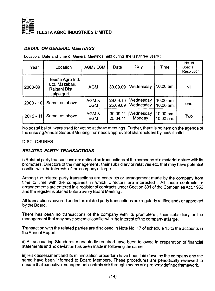

#### *DETAIL ON GENERAL MEETINGS*

Location, Date and time of General Meetings held during the last three years:

| Year        | Location                                                          | AGM / EGM           | Date                 | Day                    | Time                     | No. of<br>Special<br>Resolution |
|-------------|-------------------------------------------------------------------|---------------------|----------------------|------------------------|--------------------------|---------------------------------|
| 2008-09     | Teesta Agro Ind.<br>Ltd. Mazabari,<br>Rajganj Dist.<br>Jalpaiguri | <b>AGM</b>          | 30.09.09             | Wednesday              | 10.00 am.                | Nil                             |
| $2009 - 10$ | Same, as above                                                    | AGM&<br><b>EGM</b>  | 29.09.10<br>25.09.09 | Wednesday<br>Wednesday | 10.00 am.<br>10.00 am.   | one                             |
| $2010 - 11$ | Same, as above                                                    | AGM &<br><b>EGM</b> | 30.09.11<br>25.04.11 | Wednesday<br>Monday    | 10.00 am.<br>$10.00$ am. | Two                             |

**No postal ballot were used for voting at these meetings. Further, there is no item on the agenda of the ensuing Annual General Meeting that needs approval of shareholders by postal ballot.**

#### **DISCLOSURES**

#### *RELATED PARTY TRANSACTIONS*

i) Related party transactions are defined as transactions of the company of a material nature with its **promoters. Directors ofthe management, their subsidiary or relatives etc. that may have potential conflict with the interests ofthe company at large.**

**Among the related party transactions are contracts or arrangement made by the company from time to time with the companies in which Directors are interested . All these contracts or** arrangements are entered in a register of contracts under Section 301 of the Companies Act, 1956 **and the register is placed before every Board Meeting.**

**All transactions covered underthe related party transactions are regularly ratified and / or approved bythe Board.**

**There has been no transactions of the company with its promoters , their subsidiary or the management that may have potential conflict with the interest ofthe company at large.**

**Transaction with the related parties are disclosed in Note No. 17 of schedule 15 to the accounts in the Annual Report.**

**ii) All accounting Standards mandatorily required have been followed in preparation of financial statements and no deviation has been made in following the same.**

**iii) Risk assessment and its minimization procedure have been laid down by the company and the same have been informed to Board Members. These procedures are periodically reviewed to ensure that executive management controls risk through means of a property defined framework.**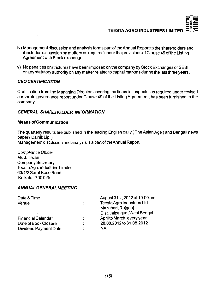

- **iv) Management discussion and analysis forms part of the Annual Report to the shareholders and it includes discussion on matters as required underthe provisions of Clause 49 ofthe Listing Agreement with Stock exchanges.**
- **v) No penalties or strictures have been imposed on the company by Stock Exchanges or SEBI or any statutory authority on any matter related to capital markets during the last three years.**

## *CEO CERTIFICATION*

**Certification from the Managing Director, covering the financial aspects, as required under revised corporate governance report under Clause 49 ofthe Listing Agreement, has been furnished to the company.**

#### *GENERAL SHAREHOLDER INFORMATION*

#### **Means of Communication**

The quarterly results are published in the leading English daily (The Asian Age) and Bengali news **paper (DainikLipi) Management discussion and analysis is a part of the Annual Report.**

*Compliance* Officer; **Mr. J.Tiwari Company Secretary Teesta Agro industries Limited 63/1/2 Sarat Bose Road, Kolkata-700 025**

#### *ANNUAL GENERAL MEETING*

| Date & Time                  |   | August 31st, 2012 at 10.00 am. |
|------------------------------|---|--------------------------------|
| Venue                        | ٠ | Teesta Agro Industries Ltd     |
|                              |   | Mazabari, Rajganj              |
|                              |   | Dist. Jalpaiguri, West Bengal  |
| <b>Financial Calendar</b>    | ٠ | April to March, every year     |
| Date of Book Closure         | ٠ | 28.08.2012 to 31.08.2012       |
| <b>Dividend Payment Date</b> |   | <b>NA</b>                      |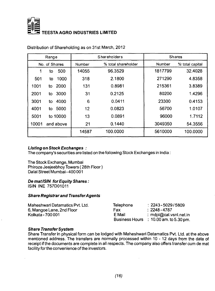

|       | Range         |        | Shareholders        |               | <b>Shares</b>   |
|-------|---------------|--------|---------------------|---------------|-----------------|
|       | No. of Shares | Number | % total shareholder | <b>Number</b> | % total capital |
|       | 500<br>to     | 14055  | 96.3529             | 1817799       | 32.4028         |
| 501   | 1000<br>to    | 318    | 2.1800              | 271290        | 4.8358          |
| 1001  | 2000<br>to    | 131    | 0.8981              | 215361        | 3.8389          |
| 2001  | 3000<br>to    | 31     | 0.2125              | 80200         | 1.4296          |
| 3001  | 4000<br>to    | 6      | 0.0411              | 23300         | 0.4153          |
| 4001  | 5000<br>to.   | 12     | 0.0823              | 56700         | 1.0107          |
| 5001  | to 10000      | 13     | 0.0891              | 96000         | 1.7112          |
| 10001 | and above     | 21     | 0.1440              | 3049350       | 54.3556         |
|       |               | 14587  | 100.0000            | 5610000       | 100.0000        |

**Distribution of Shareholding as on 31st March, 2012**

#### *Listing on Stock Exchanges :*

**The company's securities are listed on the following Stock Exchanges in India;**

**The Stock Exchange, Mumbai Phiroze Jeejeebhoy Towers ( 28th Floor) Dalai Street Mumbai - 400 001**

#### *De mat ISIN for Equity Shares:*

**ISIN INE 757D01011**

#### *Share Registrar and TransferAgents*

| Telephone | $: 2243 - 5029/5809$                        |
|-----------|---------------------------------------------|
| Fax       | $: 2248 - 4787$                             |
| E Mail    | : mdpl@cal.vsnl.net.in                      |
|           | Business Hours $\div$ 10.00 am. to 5.30 pm. |
|           |                                             |

#### *Share Transfer System*

**Share Transfer in physical form can be lodged with Maheshwari Datamatics Pvt. Ltd. at the above mentioned address. The transfers are normally processed within 10-12 days from the date of receipt if the documents are complete in all respects. The company also offers transfer cum de mat facility for the convenience of the investors.**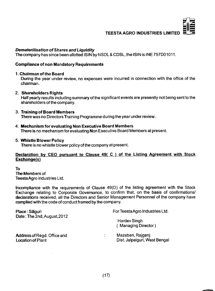

#### *Dematerilisation of Shares and Liquidity*

**The company has since been allotted ISIN by NSDL & CDSL. the ISIN is INE 757D01011.**

#### **Compliance of non Mandatory Requirements**

#### **1. Chairman ofthe Board**

**During the year under review, no expenses were incurred in connection with the office of the chairman.**

#### **2. Shareholders Rights**

**Half yearly results including summary ofthe significant events are presently not being sent to the shareholders of the company.**

#### **3. Training of Board Members**

**There was no Directors Training Programme during the year under review.**

**4. Mechanism for evaluating Non Executive Board Members**

**There is no mechanism for evaluating Non Executive Board Members at present.**

#### **5. Whistle Blower Policy**

There is no whistle blower policy of the company at present.

#### **Declaration by CEO pursuant to Clause 49( C ) of the Listing Agreement with Stock Exchanae(s)**

**To The Members of TeestaAgro industries Ltd.**

**Incompliance with the requirements of Clause 49(D) of the listing agreement with the Stock Exchange relating to Corporate Governance, to confirm that, on the basis of confirmations/ declarations received, all the Directors and Senior Management Personnel of the company have complied with the code of conduct framed by the company.**

| Place: Siliguri<br>Date: The 2nd, August, 2012                 | For Teesta Agro Industries Ltd.                    |
|----------------------------------------------------------------|----------------------------------------------------|
|                                                                | Hardev Singh<br>(Managing Director)                |
| <b>Address of Regd. Office and</b><br><b>Location of Plant</b> | Mazabari, Rajganj<br>Dist. Jalpaiguri, West Bengal |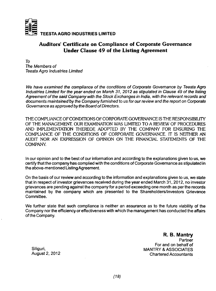

## **Auditors' Certificate on Compliance of Corporate Governance Under Clause 49 of the Listing Agreement**

*To The Members of Teesta Agro Industries Limited*

*We have examined the compliance of the conditions of Corporate Governance by Teesta Agro Industries Limited for the year ended on March 31, 2012 as stipulated in Clause 49 of the listing Agreement ofthe said Company with the Stock Exchanges in India, with the relevant records and* **documents maintained by** *the Company furnished to us for our review and the report on Corporate Governance as approved by the Board of Directors.*

**THE COMPUANCE OF CONDITIONS OF CORPORATE GOVERNANCE IS THE RESPONSIBILITY OF THE MANAGEMENT. OUR EXAMINATION WAS LIMITED TO A REVIEW OF PROCEDURES AND IMPLEMENTATION THEREOF ADOPTED BY THE COMPANY FOR ENSURING THE COMPLIANCE OF THE CONDITIONS OF CORPORATE GOVERNANCE. IT IS NEITHER AN AUDIT NOR AN EXPRESSION OF OPINION ON THE HNANCIAL STATEMENTS OF THE COMPANY.**

**In our opinion and to the best of our information and according to the explanations given to us, we certify that the company has complied with the conditions of Corporate Governance as stipulated in the above-mentioned Listing Agreement.**

**On the basis of our review and according to the information and explanations given to us, we state that in respect of investor grievances received during the year ended March 31, 2012, no investor grievances are pending against the company for a period exceeding one month as per the records maintained by the company which are presented to the Shareholders/Investors Grievance Committee.**

**We further state that such compliance is neither an assurance as to the future viability of the Company nor the efficiency or effectiveness with which the management has conducted the affairs ofthe Company.**

**R. B. Mantry Partner For and on behalf of Siliguri, MANTRY & ASSOCIATES Chartered Accountants**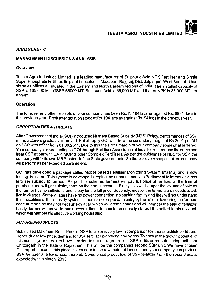#### *ANNEXURE- C*

#### **MANAGEMENT DISCUSSION & ANALYSIS**

#### **Overview**

**Teesta Agro Industries Limited is a leading manufacturer of Sulphuric Acid NPK Fertiliser and Single Super Phosphate fertiliser. Its plant is located at Mazabari, Rajganj, Dist. Jalpaiguri, West Bengal. It has six sales offices all situated in the Eastern and North Eastern regions of India. The installed capacity of SSP is 165,000 MT, GSSP 66000 MT, Sulphuric Acid is 66,000 MT and that of NPK is 33,000 MT per annum.**

#### **Operation**

**The turnover and other receipts of your company has been Rs.l 3,184 lacs as against Rs. 8981 lacs in the previous year. Profit after taxation stood at Rs.l 04 lacs as against Rs. 94 lacs in the previous year.**

#### *OPPORTUNITIES & THREATS*

**After Government of India (GOI) introduced Nutrient Based Subsidy (NBS) Policy, performances of SSP manufacturers gradually improved. But abruptly GOI withdrew the secondary freight of Rs.200/- per MT on SSP with effect from 01.09.2011. Due to this the Profit margin of your company somewhat suffered. Your company is representing to GOI through Fertiliser Association of India to re-introduce the same and treat SSP at par with DAP, MOP & other Complex Fertilisers. As per the guidelines of NBS for SSP, fhe company will fix its own MRP instead ofthe State governments. So there is every scope that the company will perform as per expected parameters.**

**GOI has developed a package called Mobile based Fertiliser Monitoring System (mFMS) and is now testing the same. This system is developed keeping the announcement in Parliament to introduce direct fertiliser subsidy to farmers. As per this scheme, farmers will pay full price of fertilizer at the time of purchase and will get subsidy through their bank account. Firstly, this will hamper the volume of sale as the farmer has no sufficient fund to pay for the full price. Secondly, most of the farmers are not educated, live in villages. Some villages have no power connection, no banking facility and they will not understand the criticalities ofthis subsidy system. If there is no proper data entry by the retailer favouring the farmers code number, he may not get subsidy at all which will create chaos and will hamper the sale of fertilizer. Lastly, farmer will move to bank several times to check the subsidy status till credited to his account, which will hamper his effective working hours also.**

#### *FUTURE PROSPECTS*

**Subsidised Maximum Retail Price of SSP fertilizer is very low in comparison to other substitute fertilizers. Hence due to low price, demand for SSP fertilizer is growing day by day. To encash the growth potential of this sector, your directors have decided to set up a green field SSP fertilizer manufacturing unit near Chittorgarh in the state of Rajasthan. This will be the companies second SSP unit. We have chosen Chittorgarh because this place is very near to the raw material location and your company can produce SSP fertilizer at a lower cost there at.** *Commercial* **production of SSP fertiiizer** *from* **the** *second* **unit is expected within March, 2013.**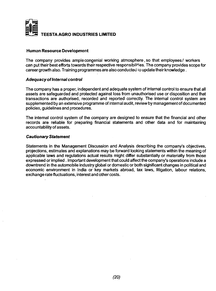

#### **Human Resource Development**

**The company provides ample congenial working atmosphere, so that employees/ workers can put their best efforts towards their respective responsibilities. The company provides scope for career growth also. Training programmes are also conducted lo update their knowledge.**

#### *Adequacy of Internal control*

**The company has a proper, independent and adequate system of internal control to ensure that all assets are safeguarded and protected against loss from unauthorised use or disposition and that transactions are authorised, recorded and reported correctly. The internal control system are supplemented by an extensive programme of internal audit, review by management of documented policies, guidelines and procedures.**

**The internal control system of the company are designed to ensure that the financial and other records are reliable for preparing financial statements and other data and for maintaining accountability of assets.**

#### *Cautionary Statement*

**Statements in the Management Discussion and Analysis describing the company's objectives, projections, estimates and explanations may be fonvard looking statements within the meaning of applicable laws and regulations actual results might differ substantially or materially from those expressed or implied. Important development that could affect the company's operations include a downtrend in the automobile industry global or domestic or both significant changes in political and economic environment in India or key markets abroad, tax laws, litigation, labour relations, exchange rate fluctuations, interest and other costs.**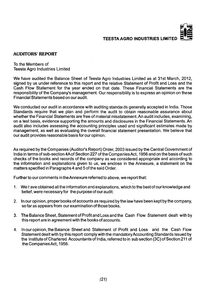#### **AUDITORS' REPORT**

**To the Members of Teesta Agro Industries Limited**

**We have audited the Balance Sheet of Teesta Agro Industries Limited as at 31st March, 2012, signed by us under reference to this report and the relative Statement of Profit and Loss and the Cash Flow Statement for the year ended on that date. These Financial Statements are the responsibility ofthe Company's management. Our responsibility is to express an opinion on these Financial Statements based on our audit.**

**We conducted our audit in accordance with auditing standaids generally accepted in India. Those Standards require that we plan and perform the audit to obtain reasonable assurance about whether the Financial Statements are free of material misstatement. An audit includes, examining, on a test basis, evidence supporting the amounts and disclosures in the Financial Statements. An audit also includes assessing the accounting principles used and significant estimates made by management, as well as evaluating the overall financial statement presentation. We believe that our audit provides reasonable basis for our opinion.**

**As required by the Companies (Auditor's Report) Order, 2003 issued by the Central Government of India in terms of sub-section 4A of Section 227 ofthe CompaniesAct, 1956 and on the basis of such checks of the books and records of the company as we considered appropriate and according to the information and explanations given to us, we enclose in the Annexure, a statement on the matters specified in Paragraphs 4 and 5 ofthe said Order.**

**Further to our comments in the Annexure referred to above, we report that:**

- **1. We have obtained all the information and explanations, which to the best of our knowledge and belief, were necessary for the purpose of our audit.**
- **2. In our opinion, proper books of accounts as required by the law have been kept by the company, so far as appears from our examination of those books.**
- **3. The Balance Sheet, Statement of Profit and Loss and the Cash Flow Statement dealt with by this report are in agreement with the books of accounts.**
- **4. In ouropinion, the Balance Sheet and Statement of Profit and Loss and the Cash Flow Statement dealt with by this report comply with the mandatory Accounting Standards issued by the Institute of Chartered Accountants of India, referred to in sub section (3C) of Section 211 of the CompaniesAct, 1956.**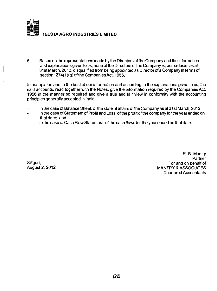

5. Based on the representations made by the Directors ofthe Company and the information and explanations given to us, none of the Directors of the Company is, prima-facie, as at 31st March, 2012, disqualified from being appointed as Director of a Company in terms of section 274(1)(g) of the Companies Act, 1956.

In *our* opinion and to the best of our information and according to the explanations given to us, the said accounts, read together with the Notes, give the information required by the Companies Act, 1956 in the manner so required and give a true and fair view in conformity with the accounting principles generally accepted in India:

- In the case of Balance Sheet, of the state of affairs of the Company as at 31st March, 2012;
- in the case of Statement of Profit and Loss, ofthe profit ofthe company forthe year ended on  $\overline{a}$ that date; and
- In the case of Cash Flow Statement, of the cash flows for the year ended on that date.

R. B. Mantry Partner Siliguri, For and on behalf of **MANTRY & ASSOCIATES** Chartered Accountants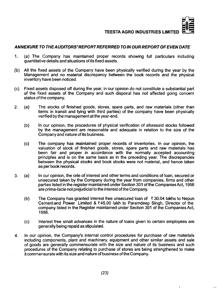

#### *ANNEXURETO THE AUDITORS'REPORT REFERRED TO IN OUR REPORT OF EVEN DATE*

- **1. (a) The Company has maintained proper records showing full particulars including quantitative details and situations of its fixed assets.**
- **(b) All the fixed assets of the Company have been physically verified during the year by the Management and no material discrepancy between the book records and the physical inventory have been noticed.**
- **(c) Fixed assets disposed off during the year, in our opinion do not constitute a substantial part of the fixed assets of the Company and such disposal has not affected going concern** status of the company.
- **2. (a) The stocks of finished goods, stores, spare parts, and raw materials (other than items in transit and lying with third parties) of the company have been physically verified by the management at the year-end.**
	- **(b) In our opinion, the procedures of physical verification of aforesaid stocks followed by the management are reasonable and adequate in relation to the size of the Company and nature of its business.**
	- **(c) The company has maintained proper records of inventories. In our opinion, the valuation of stock of finished goods, stores, spare parts and raw materials has been fair and proper in accordance with the normally accepted accounting principles and is on the same basis as in the preceding year. The discrepancies between the physical stocks and book stocks were not material, and hence taken as per book records.**
- **3. (a) In our opinion, the rate of interest and other terms and conditions of loan, secured or unsecured taken by the Company during the year from companies, firms and other parties listed in the register maintained under Section 301 ofthe CompaniesAct, 1956 are prima-facie not prejudicial to the interest of the Company.**
	- **(b) The Company has granted interest free unsecured loan of** *X* **30.04 lakhs to Nepun Cementand Power Limited & ? 45.00 lakh to Paramdeep Singh, Director of the** company listed in the Register maintained under Section 301 of the Companies Act, **1956.**
	- **(c) Interest free small advances in the nature of loans given to certain employees are generally being repaid as stipulated.**
- **4. In our opinion, the Company's internal control procedures for purchase of raw materials including components, plant and machinery, equipment and other similar assets and sale of goods are generally commensurate with the size and nature of its business and such procedures of the Company relating to purchase of stores are being strengthened to make it commensurate with its size and nature of business ofthe Company.**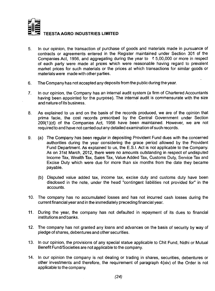

- **5. In our opinion, the transaction of purchase of goods and materials made in pursuance of contracts or agreements entered in the Register maintained under Section 301 of the Companies Act, 1956, and aggregating during the year to ? 5,00,000 or more in respect of each party were made at prices which were reasonable having regard to prevalent market prices for such materials or the prices at which transactions for similar goods or materials were made with other parties.**
- **6. The Company has not accepted any deposits from the public during the year.**
- **7. In our opinion, the Company has an internal audit system (a firm of Chartered Accountants having been appointed for the purpose). The internal audit is commensurate with the size and nature of its business.**
- **8. As explained to us and on the basis of the records produced, we are of the opinion that prima facie, the cost records prescribed by the Central Government under Section 209(1 )(d) of the Companies Act, 1956 have been maintained. However, we are not required to and have not carried out any detailed examination of such records.**
- **9. (a) The Company has been regular in depositing Provident Fund dues with the concerned authorities during the year considering the grace period allowed by the Provident Fund Department. As explained to us, the E.S.I. Act is not applicable to the Company. As on 31st March, 2012, there were no amounts outstanding in respect of undisputed Income Tax, Wealth Tax, Sales Tax, Value Added Tax, Customs Duty, Service Tax and Excise Duty which were due for more than six months from the date they became payable.**
	- **(b) Disputed value added tax, income tax, excise duty and customs duty have been disclosed in the note, under the head "contingent liabilities not provided for" in the accounts.**
- **10. The company has no accumulated losses and has not incurred cash losses during the current financial year and in the immediately preceding financial year.**
- **11. During the year, the company has not defaulted in repayment of its dues to financial institutions and banks.**
- **12. The company has not granted any loans and advances on the basis of security by way of pledge of shares, debentures and other securities.**
- **13. In our opinion, the provisions of any special statue applicable to Chit Fund, Nidhi or Mutual Benefit Fund/Societies are not applicable to the company.**
- **14. In our opinion the company is not dealing or trading in shares, securities, debentures or other investments and therefore, the requirement of paragraph 4(xiv) of the Crder is not applicable to the company.**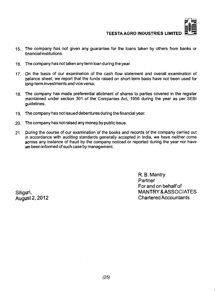

- **15. The company has not given any guarantee for the loans taken by others from banks or financial institutions.**
- **16. The company has not taken any term loan during the year.**
- **17. On the basis of our examination of the cash flow statement and overall examination of balance sheet, we report that the funds raised on short-term basis have not been used for long-term investments and vice versa.**
- **18. The company has made preferential allotment of shares to parties covered in the register maintained under section 301 of the Companies Act, 1956 during the year as per SEBI guidelines.**
- 1**9. The company has not issued debentures during the financial year.**
- **20. The company has not raised any money by public issue.**
- **21. During the course of our examination of the books and records of the company carried out in accordance with auditing standards generally accepted in India, we have neither come across any instance of fraud by the company noticed or reported during the year nor have we been informed of such case by management.**

R. B. Mantry Partner Forand on behalf of Siliguri, MANTRY & ASSOCIATES **Chartered Accountants**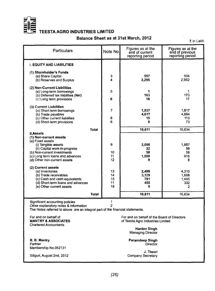

## **Balance Sheet as at 31st March, 2012**

₹ in Lakh

| Particulars                                                                                                                                                                                                                                                                                                                                                                                   | Note No                                           | Figures as at the<br>end of current<br>reporting period              | Figures as at the<br>end of previous<br>reporting period             |  |
|-----------------------------------------------------------------------------------------------------------------------------------------------------------------------------------------------------------------------------------------------------------------------------------------------------------------------------------------------------------------------------------------------|---------------------------------------------------|----------------------------------------------------------------------|----------------------------------------------------------------------|--|
| <b>I. EQUITY AND LIABILITIES</b>                                                                                                                                                                                                                                                                                                                                                              |                                                   |                                                                      |                                                                      |  |
| (1) Shareholder's Funds<br>(a) Share Capital<br>(b) Reserves and Surplus                                                                                                                                                                                                                                                                                                                      | 3<br>4                                            | 557<br>3,295                                                         | 504<br>2,952                                                         |  |
| (2) Non-Current Liabilities<br>(a) Long-term borrowings<br>(b) Deferred tax liabilities (Net)<br>(c) Long term provisions                                                                                                                                                                                                                                                                     | 5<br>6                                            | 1<br>163<br>18                                                       | 1<br>173<br>17                                                       |  |
| (3) Current Liabilities<br>(a) Short-term borrowings<br>(b) Trade payables<br>(c) Other current liabilities<br>(d) Short-term provisions                                                                                                                                                                                                                                                      | 7<br>8<br>6                                       | 1,937<br>4,617<br>15<br>8                                            | 1,917<br>4,884<br>113<br>73                                          |  |
| <b>Total</b>                                                                                                                                                                                                                                                                                                                                                                                  |                                                   | 10,611                                                               | 10,634                                                               |  |
| <b>II.Assets</b><br>(1) Non-current assets<br>(a) Fixed assets<br>(i) Tangible assets<br>(ii) Capital work-in-progress<br>(b) Non-current investments<br>(c) Long term loans and advances<br>(d) Other non-current assets<br>(2) Current assets<br>(a) Inventories<br>(b) Trade receivables<br>(c) Cash and cash equivalents<br>(d) Short-term loans and advances<br>(e) Other current assets | 9<br>10<br>11<br>12<br>13<br>14<br>15<br>11<br>16 | 2,090<br>22<br>58<br>1.559<br>9<br>2.499<br>3.129<br>781<br>455<br>9 | 1,857<br>98<br>58<br>916<br>8<br>4.310<br>1.608<br>1,445<br>332<br>2 |  |
| Total                                                                                                                                                                                                                                                                                                                                                                                         |                                                   | 10,611                                                               | 10,634                                                               |  |
| Significant accounting policies<br>1<br>Other explanatory notes & information<br>2<br>The Notes referred to above are an integral part of the financial statements.<br>For and on behalf of<br>For and on behalf of the Board of Directors<br><b>MANTRY &amp; ASSOCIATES</b><br>of Teesta Agro Industries Limited<br><b>Chartered Accountants</b><br><b>Hardev Singh</b>                      |                                                   |                                                                      |                                                                      |  |
| <b>Managing Director</b><br>R. B. Mantry<br>Paramdeep Singh<br>Partner<br><b>Director</b><br>Membership No.052131                                                                                                                                                                                                                                                                             |                                                   |                                                                      |                                                                      |  |

Siliguri, August 2nd, 2012

J. Tiwari<br>Company Secretary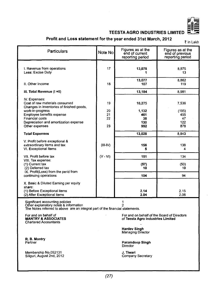

## Profit and Loss statement for the year ended 31st March, 2012

? in Lakh

| Particulars                                                                                                                                               | Note No        | Figures as at the<br>end of current<br>reporting period | Figures as at the<br>end of previous<br>reporting period |  |
|-----------------------------------------------------------------------------------------------------------------------------------------------------------|----------------|---------------------------------------------------------|----------------------------------------------------------|--|
| I. Revenue from operations<br>Less: Excise Duty                                                                                                           | 17             | 13,078                                                  | 8.875<br>13                                              |  |
| II. Other Income                                                                                                                                          | 18             | 13,077<br>107                                           | 8,862<br>119                                             |  |
| III. Total Revenue (I +II)                                                                                                                                |                | 13,184                                                  | 8.981                                                    |  |
| IV. Expenses:<br>Cost of raw materials consumed<br>Changes in inventories of finished goods,<br>work-in-progress<br>Employee benefits expense             | 19<br>20<br>21 | 10,275<br>1,132<br>461                                  | 7.536<br>(195)<br>455                                    |  |
| Financial costs<br>Depreciation and amortization expense<br>Other expenses                                                                                | 22<br>23       | 38<br>130<br>992                                        | 47<br>122<br>878                                         |  |
| <b>Total Expenses</b>                                                                                                                                     |                | 13,028                                                  | 8.843                                                    |  |
| V. Profit before exceptional &<br>extraordinary items and tax<br>VI. Exceptional Items                                                                    | $(III-IV)$     | 156<br>5                                                | 138<br>4                                                 |  |
| VII. Profit before tax                                                                                                                                    | $(V - VI)$     | 151                                                     | 134                                                      |  |
| VIII. Tax expense:<br>(1) Current tax<br>(2) Deferred tax<br>IX. Profit(Loss) from the perid from                                                         |                | (57)<br>10                                              | (50)<br>10                                               |  |
| continuing operations                                                                                                                                     |                | 104                                                     | 94                                                       |  |
| X. Basic & Diluted Earning per equity<br>share:<br>(1) Before Exceptional items<br>(2) After Exceptional items                                            |                | 2.14<br>2.04                                            | 2.15<br>2.06                                             |  |
| Significant accounting policies<br>Other explanatory notes & information<br>The Notes referred to above are an integral part of the financial statements. |                |                                                         |                                                          |  |

For and on behalf of<br>MANTRY & ASSOCIATES<br>Chartered Accountants

R. B. Mantry Partner

Membership No.052131<br>Siliguri, August 2nd, 2012

For and on behalf of **Formal of Science And Science A** For and on behalf of the Board of Directors<br>MANTRY & ASSOCIATES of Teesta Agro Industries Limited

**Hardev Singh** Managing Director

Paramdeep Singh **Director** 

J. Ti**wari**<br>Company Secretar<sub>)</sub>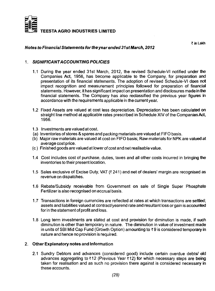

*Notes to Financial Statements for the year ended 31st March, 2012*

₹ in Lakh

## **1.** *SIGNIFICANT A CCOUNTING POLICIES*

- **1.1 During the year ended 31st March, 2012, the revised Schedule-VI notified under the Companies Act, 1956, has become applicable to the Company, for preparation and presentation of its financial statements. The adoption of revised Schedule-VI does not impact recognition and measurement principles followed for preparation of financial statements. However, it has significant impact on presentation and disclosures made in the financial statements. The Company has also reclassified the previous year figures in accordance with the requirements applicable in the current year.**
- **1.2 Fixed Assets are valued at cost less depreciation. Depreciation has been calculated on** straight line method at applicable rates prescribed in Schedule XIV of the Companies Act, **1956.**
- **1.3 Investments are valued at cost.**
- **(a) Inventories of stores & spares and packing materials are valued at FIFO basis.**
- **(b) Major raw materials are valued at cost on FIFO basis; Raw materials for NPK are valued at average cost price.**
- **(c) Finished goods are valued at lower of cost and net realisable value.**
- **1.4 Cost includes cost of purchase, duties, taxes and all other costs incurred in bringing the inventories to their present location.**
- **1.5 Sales exclusive of Excise Duty, VAT (? 241) and net of dealers' margin are recognised as revenue on dispatches.**
- **1.6 Rebate/Subsidy receivable from Government on sale of Single Super Phosphate Fertilizer is also recognised on accrual basis.**
- **1.7 Transactions in foreign currencies are reflected at rates at which transactions are settled; assets and liabilities valued at contract/yearend rate and resultant loss or gain is accounted for in the statement of profit and loss.**
- **1.8 Long term investments are stated at cost and provision for diminution is made, if such diminution is other than temporary in nature. The diminution in value of investment made in units of SBI Mid Cap Fund (Growth Option) amounting to ? 9 is considered temporary in nature and hence no provision is required.**

#### **2. Other Explanatory notes and Information**

**2.1 Sundry Debtors and advances (considered good) include certain overdue debts/ old advances aggregating to ?12 (Previous Year ?12) for which necessary steps are being taken for realisation and as such no provision there against is considered necessary in these accounts.**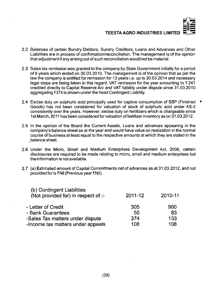

- **2.2 Balances of certain Sundry Debtors, Sundry Creditors, Loans and Advances and Other Liabilities are in process of confirmation/reconciliation. The management is of the opinion that adjustment if any arising out of such reconciliation would not be material.**
- **2.3 Sales tax remission was granted to the company by State Government initially for a period of 9 years which ended on 30.03.2010. The management is ofthe opinion that as perthe law the company is entitled for remission for 13 years i.e. up to 30.03.2014 and necessary legal steps are being taken in this regard. VAT remission for the year amounting to** *X* **241 credited directly to Capital Reserve A/c and VAT liability under dispute since 31.03.2010 aggregating ?374 is shown underthe head Contingent Liability.**
- **2.4 Excise duty on sulphuric acid principally used for captive consumption of SSP (Finished Goods) has not been considered for valuation of stock of sulphuric acid under AS-2 consistently over the years. However, excise duty on fertilizers which is chargeable since 1 st March, 2011 has been considered for valuation of fertilizer inventory as on 31.03.2012.** t
- **2.5 In the opinion of the Board the Current Assets, Loans and advances appearing in the company's balance sheet as at the year end would have value on realization in the normal course of business at least equal to the respective amounts at which they are stated in the balance sheet.**
- **2.6 Under the Micro, Small and Medium Enterprises Development Act, 2006, certain disclosures are required to be made relating to micro, small and medium enterprises but the information is not available.**
- **2.7 (a) Estimated amount of Capital Commitments net of advances as at 31.03.2012, and not provided for is ?Nil (Previous year? Nil).**

| 2011-12 | 2010-11 |
|---------|---------|
| 305     | 900     |
| 55      | 83      |
| 374     | 133     |
| 108     | 108     |
|         |         |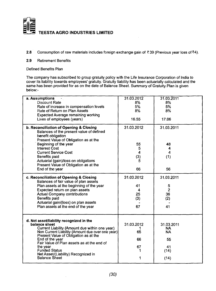

- 2.8 Consumption of raw materials includes foreign exchange gain of ₹39 (Previous year loss of ₹4).
- 2.9 Retirement Benefits

Defined Benefits Plan

The company has subscribed to group gratuity policy with the Life Insurance Corporation of India to cover its liability towards employees' gratuity. Gratuity liability has been actuarially calculated and the same has been provided for as on the date of Balance Sheet. Summary of Gratuity Plan is given below:-

| a. Assumptions                                                                            | 31.03.2012              | 31.03.2011       |
|-------------------------------------------------------------------------------------------|-------------------------|------------------|
| Discount Rate                                                                             | 8%                      | 8%               |
| Rate of increase in compensation levels                                                   | 5%                      | 5%               |
|                                                                                           |                         |                  |
| Rate of Return on Plan Assets                                                             | 8%                      | 8%               |
| <b>Expected Average remaining working</b>                                                 |                         |                  |
| Lives of employees (years)                                                                | 16.55                   | 17.06            |
|                                                                                           |                         |                  |
| b. Reconciliation of Opening & Closing                                                    | 31.03.2012              | 31.03.2011       |
| Balances of the present value of defined                                                  |                         |                  |
|                                                                                           |                         |                  |
| benefit obligation                                                                        |                         |                  |
| Present Value of Obligation as at the                                                     |                         |                  |
| Beginning of the year                                                                     | 55                      | 48               |
| <b>Interest Cost</b>                                                                      | 5                       | 4                |
| <b>Current Service Cost</b>                                                               | $\overline{\mathbf{4}}$ | $\boldsymbol{4}$ |
|                                                                                           |                         |                  |
| Benefits paid                                                                             | (3)                     | (1)              |
| Actuarial (gain)/loss on obligations                                                      | 5                       |                  |
| Present Value of Obligation as at the                                                     |                         |                  |
| End of the year                                                                           | 66                      | 56               |
|                                                                                           |                         |                  |
|                                                                                           | 31.03.2012              | 31.03.2011       |
| c. Reconciliation of Opening & Ciosing                                                    |                         |                  |
| Balances of fair value of plan assets                                                     |                         |                  |
| Plan assets at the beginning of the year                                                  | 41                      | 5                |
| Expected return on plan assets                                                            | 4                       | $\overline{2}$   |
| <b>Actual Company contributions</b>                                                       | 25                      | 36               |
|                                                                                           |                         |                  |
| Benefits paid                                                                             | (3)                     | (2)              |
| Actuarial gain/(loss) on plan assets                                                      |                         |                  |
| Plan assets at the end of the year                                                        | 67                      | 41               |
|                                                                                           |                         |                  |
|                                                                                           |                         |                  |
|                                                                                           |                         |                  |
| d. Net asset/liability recognized in the                                                  |                         |                  |
| balance sheet                                                                             | 31.03.2012              | 31.03.2011       |
| Current Liability (Amount due within one year)                                            |                         | <b>NA</b>        |
|                                                                                           | 65                      | <b>NA</b>        |
| Non Current Liability (Amount due over one year)<br>Present Value of Obligation as at the |                         |                  |
| End of the year                                                                           | 66                      | 55               |
| Fair Value of Plan assets as at the end of                                                |                         |                  |
| the year                                                                                  | 67                      | 41               |
| <b>Funded Status</b>                                                                      | 1.                      | (14)             |
| Net Asset/(Liability) Recognized in                                                       |                         |                  |
| <b>Balance Sheet</b>                                                                      | 1                       |                  |
|                                                                                           |                         | (14)             |
|                                                                                           |                         |                  |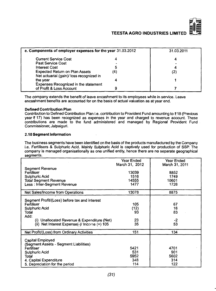

| e. Components of employer expenses for the year 31.03.2012                        | 31.03.2011 |  |
|-----------------------------------------------------------------------------------|------------|--|
| <b>Current Service Cost</b>                                                       |            |  |
| Past Service Cost                                                                 |            |  |
| <b>Interest Cost</b>                                                              |            |  |
| <b>Expected Return on Plan Assets</b><br>Net actuarial (gain)/ loss recognized in | (4)        |  |
| the year                                                                          |            |  |
| Expenses Recognized in the statement<br>of Profit & Loss Account                  |            |  |

The company extends the benefit of leave encashment to its employees while in service. Leave encashment benefits are accounted for on the basis of actual valuation as at year end.

#### **Defined Contribution Plan**

Contribution to Defined Contribution Plan i.e. contribution to Provident Fund amounting to ₹18 (Previous **year ₹ 17) has been recognized as expenses in the year and charged to revenue account. These** contributions are made to the fund administered and managed by Regional Provident Fund Commissioner, Jalpaiguri.

#### **2.10 Segment Information**

The business segments have been identified on the basis of the products manufactured by the Company i.e. Fertilisers & Sulphuric Acid. Mainly Sulphuric Acid is captively used for production of SSP. The company is managed organisationally as one unified entity, hence there are no separate geographical seaments.

|                                                                                                                                                                                                     | Year Ended<br>March 31, 2012      | Year Ended<br>March 31, 2011      |
|-----------------------------------------------------------------------------------------------------------------------------------------------------------------------------------------------------|-----------------------------------|-----------------------------------|
| Segment Revenue<br>Fertiliser<br>Sulphuric Acid<br><b>Total Segment Revenue</b><br>Less: Inter-Segment Revenue                                                                                      | 13039<br>1516<br>14555<br>1477    | 8852<br>1749<br>10601<br>1726     |
| Net Sales/Income from Operations                                                                                                                                                                    | 13078                             | 8875                              |
| Segment Profit/(Loss) before tax and interest<br>Fertiliser<br>Sulphuric Acid<br>Total<br>Add:<br>(i) Unallocated Revenue & Expenditure (Net)<br>(ii) Net Interest Expense $(-)/$ Incorne $(+)$ 105 | 105<br>(12)<br>93<br>23<br>35     | 67<br>16<br>83<br>-2<br>53        |
| Net Profit/(Loss) from Ordinary Activities                                                                                                                                                          | 151                               | 134                               |
| Capital Employed<br>(Segment Assets - Segment Liabilities)<br>Fertiliser<br>Sulphuric Acid<br>Total<br>4. Capital Expenditure<br>5. Depreciation for the period                                     | 5421<br>531<br>5952<br>348<br>114 | 4701<br>901<br>5602<br>314<br>122 |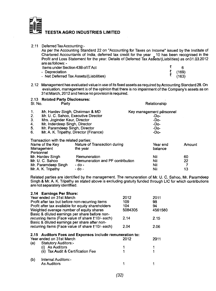

| 2.11      | Deferred Tax Accounting:-<br>are as follows: - | As per the Accounting Standard 22 on "Accounting for Taxes on Income" issued by the Institute of<br>Chartered Accountants of India, deferred tax credit for the year _ 10 has been recognised in the<br>Profit and Loss Statement for the year. Details of Deferred Tax Assets/(Liabilities) as on31.03.2012 |                          |    |        |  |
|-----------|------------------------------------------------|--------------------------------------------------------------------------------------------------------------------------------------------------------------------------------------------------------------------------------------------------------------------------------------------------------------|--------------------------|----|--------|--|
|           | Items under Section 43B of IT Act              |                                                                                                                                                                                                                                                                                                              |                          | ₹  | 6      |  |
|           | - Depreciation                                 |                                                                                                                                                                                                                                                                                                              |                          | そき | (169)  |  |
|           |                                                | - Net Deferred Tax Assets/(Liabilities)                                                                                                                                                                                                                                                                      |                          |    | (163)  |  |
|           |                                                | 2.12 Management has evaluated value in use of its fixed assets as required by Accounting Standard 28. On<br>evaluation, management is of the opinion that there is no impairment of the Company's assets as on<br>31st March, 2012 and hence no provision is required.                                       |                          |    |        |  |
|           | 2.13 Related Party Disclosures:                |                                                                                                                                                                                                                                                                                                              |                          |    |        |  |
| SI. No.   | Party                                          |                                                                                                                                                                                                                                                                                                              | Relationship             |    |        |  |
| 1.        | Mr. Hardev Singh, Chairman & MD                |                                                                                                                                                                                                                                                                                                              | Key management personnel |    |        |  |
| 2.        | Mr. U. C. Sahoo, Executive Director            |                                                                                                                                                                                                                                                                                                              | -Do-                     |    |        |  |
| 3.        | Mrs. Joginder Kaur, Director                   |                                                                                                                                                                                                                                                                                                              | -Do-                     |    |        |  |
| 4.        | Mr. Inderdeep Singh, Director                  |                                                                                                                                                                                                                                                                                                              | -Do-                     |    |        |  |
| 5.        | Mr. Paramdeep Singh, Director                  |                                                                                                                                                                                                                                                                                                              | -Do-                     |    |        |  |
| 6.        | Mr. A. K. Tripathy, Director (Finance)         |                                                                                                                                                                                                                                                                                                              | -Do-                     |    |        |  |
|           | Transaction with the related parties:          |                                                                                                                                                                                                                                                                                                              |                          |    |        |  |
|           | Name of the Key                                | Nature of Transaction during                                                                                                                                                                                                                                                                                 | Year end                 |    | Amount |  |
|           | Management                                     | the year                                                                                                                                                                                                                                                                                                     | balance                  |    |        |  |
| Personnel |                                                |                                                                                                                                                                                                                                                                                                              |                          |    |        |  |
|           | Mr. Hardev Singh                               | Remuneration                                                                                                                                                                                                                                                                                                 | Nil                      |    | 60     |  |
|           | Mr. U. C. Sahoo                                | Remuneration and PF contribution                                                                                                                                                                                                                                                                             | Nil                      |    | 22     |  |
|           | Mr. Paramdeep Singh                            | - do -                                                                                                                                                                                                                                                                                                       | Nil                      |    | 7      |  |
|           | Mr. A. K. Tripathy                             | - do -                                                                                                                                                                                                                                                                                                       | Nil                      |    | 13     |  |

Related parties are identified by the management. The remuneration of Mr. U. C. Sahoo, Mr. Paramdeep Singh & Mr. A. K. Tripathy as stated above is excluding gratuity funded through LIC for which contributions are not separately identified.

|     | 2.14 Earnings Per Share:                                 |         |         |
|-----|----------------------------------------------------------|---------|---------|
|     | Year ended on 31st March                                 | 2012    | 2011    |
|     | Profit after tax but before non-recurring items          | 109     | 98      |
|     | Profit after tax available for equity shareholders       | 104     | 94      |
|     | Weighted average number of equity shares                 | 5084305 | 4561580 |
|     | Basic & diluted earnings per share before non-           |         |         |
|     | recurring items (Face value of share ₹10/- each)         | 2.14    | 2.15    |
|     | Basic & diluted earnings per share after non-            |         |         |
|     | recurring items (Face value of share ₹10/- each)         | 2.04    | 2.06    |
|     |                                                          |         |         |
|     | 2.15 Auditors Fees and Expenses include remuneration to: |         |         |
|     | Year ended on 31st March                                 | 2012    | 2011    |
| (a) | <b>Statutory Auditors:-</b>                              |         |         |
|     | (i) As Auditors                                          |         |         |
|     | (ii) Tax Audit & Certification Fee                       |         |         |
| (b) | Internal Auditors:-                                      |         |         |
|     | <b>As Auditors</b>                                       |         |         |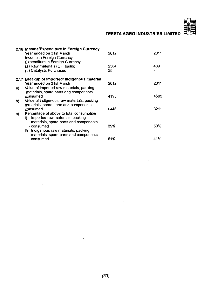|    | 2.16 Income/Expenditure in Foreign Currency  |      |      |
|----|----------------------------------------------|------|------|
|    | Year ended on 31st March                     | 2012 | 2011 |
|    | Income in Foreign Currency                   |      |      |
|    | <b>Expenditure in Foreign Currency</b>       |      |      |
|    | (a) Raw materials (CIF basis)                | 2584 | 439  |
|    | (b) Catalysts Purchased                      | 35   |      |
|    | 2.17 Breakup of Imported/Indigenous material |      |      |
|    | Year ended on 31st March                     | 2012 | 2011 |
| a) | Value of imported raw materials, packing     |      |      |
|    | materials, spare parts and components        |      |      |
|    | consumed                                     | 4195 | 4599 |
| b) | Value of indigenous raw materials, packing   |      |      |
|    | materials, spare parts and components        |      |      |
|    | consumed                                     | 6446 | 3211 |
| C) | Percentage of above to total consumption     |      |      |
|    | Imported raw materials, packing<br>i)        |      |      |
|    | materials, spare parts and components        |      |      |
|    | - consumed                                   | 39%  | 59%  |
|    | Indigenous raw materials, packing<br>ii) –   |      |      |
|    | materials, spare parts and components        |      |      |
|    | consumed                                     | 61%  | 41%  |

 $\overline{a}$ 

 $\sim$ 

 $\ddot{\phantom{0}}$ 

 $\mathcal{L}_{\mathcal{A}}$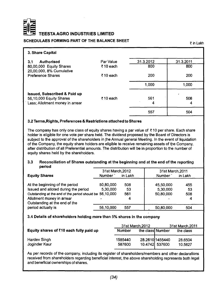

**TEESTAAGRO INDUSTRIES UMITED**

#### **SCHEDULAES FORMING PART OF THE BALANCE SHEET**

₹ in Lakh

| 3. Share Capital                                    |           |           |           |
|-----------------------------------------------------|-----------|-----------|-----------|
| <b>Authorised</b><br>3.1                            | Par Value | 31.3.2012 | 31.3.2011 |
| 80,00,000 Equity Shares<br>20,00,000, 8% Cumulative | ₹10 each  | 800       | 800       |
| <b>Preference Shares</b>                            | ₹10 each  | 200       | 200       |
|                                                     |           | 1,000     | 1,000     |
| <b>Issued, Subscribed &amp; Paid up</b>             |           |           |           |
| 56,10,000 Equity Shares                             | ₹10 each  | 561       | 508       |
| Less; Allotment money in arrear                     |           | 4         | 4         |
|                                                     |           | 557       | 504       |

#### **3.2 Terms,Rights, Preferences & Restrictions attached to Shares**

The company has only one class of equity shares having a par value of  $\bar{\tau}$  10 per share. Each share holder is eligible for one vote per share held. The dividend proposed by the Board of Directors is subject to the approval of the shareholders in the Annual general Meeting. In the event of liquidation of the Company, the equity share holders are eligible to receive remaining assets of the Company, after distribution of all Preferential amounts. The distribution will be in proportion to the number of equity shares held by the shareholders.

#### **3.3 Reconciliation of Shares outstanding at the beginning and at the end of the reporting** period

|                                                          | 31st March, 2012 |         | 31st March.2011 |         |
|----------------------------------------------------------|------------------|---------|-----------------|---------|
| <b>Equity Shares</b>                                     | <b>Number</b>    | in Lakh | Number          | in Lakh |
| At the beginning of the period                           | 50,80,000        | 508     | 45,50,000       | 455     |
| Issued and alloted during the period                     | 5,30,000         | -53     | 5.30,000        | -53     |
| Outstanding at the end of the period should be 56,10,000 |                  | 561     | 50,80,000       | 508     |
| Allotment money in arrear                                |                  |         |                 |         |
| Outstanding at the end of the                            |                  |         |                 |         |
| period actually is                                       | 56,10,000        | 557     | 50,80,000       | 504     |

#### **3.4 Details of shareholders holding more than 5% shares in the company**

|                                                  |                   | 31st March.2012                   | 31st March.2011 |                    |  |
|--------------------------------------------------|-------------------|-----------------------------------|-----------------|--------------------|--|
| Equity shares of $\bar{z}$ 10 each fully paid up | Number            | the class Number                  |                 | the class          |  |
| Hardev Singh<br>Joginder Kaur                    | 1585440<br>587600 | 28.2610 1455440<br>10.4742 537600 |                 | 28.6504<br>10.5827 |  |

As per records of the company, including its register of shareholders/members and other declarations received from shareholders regarding beneficial interest, the above shareholding represents both legal and beneficial ownerships of shares.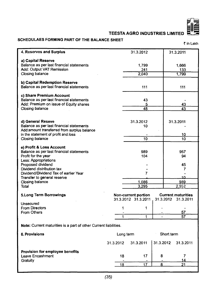

## **SCHEDULAES FORMING PART OF THE BALANCE SHEET**

? in Lakh

| 4. Reserves and Surplus                                          |           | 31.3.2012            |           | 31.3.2011                 |
|------------------------------------------------------------------|-----------|----------------------|-----------|---------------------------|
| a) Capital Reserve                                               |           |                      |           |                           |
| Balance as per last financial statements                         |           | 1,799                |           | 1,666                     |
| Add: Output VAT Remission                                        |           | 241                  |           | 133                       |
| Closing balance                                                  |           | 2,040                |           | 1,799                     |
|                                                                  |           |                      |           |                           |
| b) Capital Redemption Reserve                                    |           |                      |           |                           |
| Balance as per last financial statements                         |           | 111                  |           | 111                       |
|                                                                  |           |                      |           |                           |
| c) Share Premium Account                                         |           |                      |           |                           |
| Balance as per last financial statements                         |           | 43                   |           |                           |
| Add: Premium on issue of Equity shares                           |           | 5                    |           | 43                        |
| Closing balance                                                  |           | 48                   |           | 43                        |
|                                                                  |           |                      |           |                           |
|                                                                  |           |                      |           |                           |
| d) General Reseve                                                |           | 31.3.2012            |           | 31.3.2011                 |
| Balance as per last financial statements                         |           | 10                   |           |                           |
| Add:amount transferred from surplus balance                      |           |                      |           |                           |
| in the statement of profit and loss                              |           | 10                   |           | 10<br>10                  |
| Closing balance                                                  |           |                      |           |                           |
| e) Profit & Loss Account                                         |           |                      |           |                           |
| Balance as per last financial statements                         |           | 989                  |           | 957                       |
| Profit for the year                                              |           | 104                  |           | 94                        |
| <b>Less: Appropriations</b>                                      |           |                      |           |                           |
| Proposed dividend                                                |           |                      |           | 45                        |
| Dividend distribution tax                                        |           |                      |           | 7                         |
| Dividend/Dividend Tax of earlier Year                            |           | 7                    |           |                           |
| Transfer to general reserve                                      |           |                      |           | 1Δ                        |
| <b>Closing balance</b>                                           |           | 1,086                |           | 989                       |
| Total                                                            |           | 3,295                |           | 2,952                     |
|                                                                  |           |                      |           |                           |
| <b>5.Long Term Borrowings</b>                                    |           | Non-current portion. |           | <b>Current maturities</b> |
| Unsecured                                                        |           | 31.3.2012 31.3.2011  | 31.3.2012 | 31.3.2011                 |
| <b>From Directors</b>                                            | 1         | 1                    |           |                           |
| From Others                                                      |           |                      |           | 57                        |
|                                                                  | 1         | 1                    |           | 57                        |
|                                                                  |           |                      |           |                           |
| Note: Current maturities is a part of other Current liabilities. |           |                      |           |                           |
|                                                                  |           |                      |           |                           |
| <b>6. Provisions</b>                                             | Long term |                      |           | Short term                |
|                                                                  | 31.3.2012 | 31.3.2011            | 31.3.2012 | 31.3.2011                 |
|                                                                  |           |                      |           |                           |
| Provision for employee benefits                                  |           |                      |           |                           |
| Leave Encashment                                                 | 18        | 17                   | 8         | 7                         |
| Gratuity                                                         |           |                      |           | 14                        |
|                                                                  | <u>18</u> | 17                   | 8         | 21                        |
|                                                                  |           |                      |           |                           |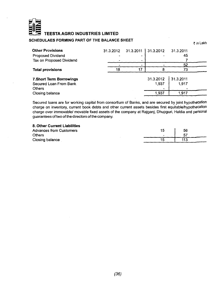

#### SCHEDULAES FORMING PART OF THE BALANCE SHEET

| <b>Other Provisions</b><br>Proposed Dividend |    |    | 31.3.2012 31.3.2011 31.3.2012 31.3.2011 | 45        |  |
|----------------------------------------------|----|----|-----------------------------------------|-----------|--|
| Tax on Proposed Dividend                     |    |    |                                         |           |  |
| <b>Total provisions</b>                      | 18 | 17 |                                         | 52<br>73  |  |
|                                              |    |    |                                         |           |  |
| 7. Short Term Borrowings                     |    |    | 31.3.2012                               | 131.32011 |  |
| Secured Loan From Bank                       |    |    | 1.937                                   | 1.917     |  |
| <b>Others</b>                                |    |    |                                         |           |  |
| Closing balance                              |    |    | 1.937                                   | 1.917     |  |

Secured loans are for working capital from consortium of Banks, and are secured by joint hypothecation charge on inventory, current book debts and other current assets besides first equitable/hypothecation charge over immovable/ movable fixed assets of the company at Rajganj, Dhupguri, Haldia and personal guarantees of two of the directors of the company.

**8. Other Current Liabilities** Advances from Customers<br>Others Others - 57 September - 57 September - 57 September - 57 September - 57 September - 57 September - 57 Septembe Closing balance

| 15 | 56  |
|----|-----|
| -  | 57  |
| 15 | 113 |

₹ in Lakh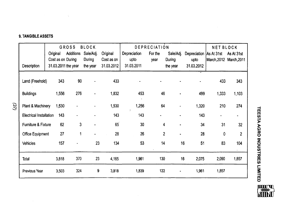## **9. TANGIBLE ASSETS**

 $\label{eq:2.1} \mathcal{L}(\mathcal{A}) = \mathcal{L}(\mathcal{A}) = \mathcal{L}(\mathcal{A})$ 

|                                |          |       | <b>GROSS</b>        | BLOCK.         |            | DEPRECIATION |         |                |                         | <b>NET BLOCK</b>             |                |
|--------------------------------|----------|-------|---------------------|----------------|------------|--------------|---------|----------------|-------------------------|------------------------------|----------------|
|                                | Original |       | Additions           | Sale/Adj.      | Original   | Depreciation | For the | Sale/Adj.      | Depreciation As At 31st |                              | As At 31st     |
|                                |          |       | Cost as on During   | During         | Cost as on | upto         | year    | During         | upto                    | March, 2012 March, 2011      |                |
| Description                    |          |       | 31.03.2011 the year | the year       | 31.03.2012 | 31.03.2011   |         | the year       | 31.03.2012              |                              |                |
|                                |          |       |                     |                |            |              |         |                |                         |                              |                |
| Land (Freehold)                |          | 343   | 90                  | $\blacksquare$ | 433        |              |         |                |                         | 433                          | 343            |
|                                |          |       |                     |                |            |              |         |                |                         |                              |                |
| <b>Buildings</b>               |          | 1,556 | 276                 | ٠              | 1,832      | 453          | 46      |                | 499                     | 1,333                        | 1,103          |
| Plant & Machinery              |          | 1,530 |                     |                | 1,530      | 1,256        | 64      |                | 1,320                   | 210                          | 274            |
|                                |          |       |                     |                |            |              |         |                |                         |                              |                |
| <b>Electrical Installation</b> |          | 143   |                     |                | 143        | 143          |         |                | 143                     | $\qquad \qquad \blacksquare$ |                |
| Furniture & Fixture            |          | 62    | 3                   |                | 65         | 30           |         | 4              | 34                      | 31                           | 32             |
| <b>Office Equipment</b>        |          | 27    | 1                   |                | 28         | 26           |         | $\overline{2}$ | 28                      | 0                            | $\overline{2}$ |
| Vehicles                       |          | 157   |                     | 23             | 134        | 53           |         | 14             | 16<br>51                | 83                           | 104            |
| Total                          |          | 3,818 | 370                 | 23             | 4,165      | 1,961        | 130     |                | 16<br>2,075             | 2,090                        | 1,857          |
| Previous Year                  |          | 3,503 | 324                 | 9              | 3,818      | 1,839        | 122     | ٠              | 1,961                   | 1,857                        |                |



ن<br>یا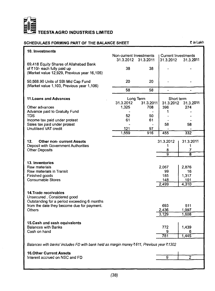

## **SCHEDULAES FORMING PART OF THE BALANCE SHEET**

₹ in Lakh

ī

| 10. Investments                                                                                                                                            |                         |                               |                                |                             |
|------------------------------------------------------------------------------------------------------------------------------------------------------------|-------------------------|-------------------------------|--------------------------------|-----------------------------|
|                                                                                                                                                            | Non-current Investments |                               | <b>Current Investments</b>     |                             |
|                                                                                                                                                            |                         | 31.3.2012 31.3.2011           | 31.3.2012                      | 31.3.2011                   |
| 69,418 Equity Shares of Allahabad Bank<br>of ₹10/- each fully paid up<br>(Market value 12,929, Previous year 16,105)                                       | 38                      | 38                            |                                |                             |
| 50,568.90 Units of SBI Mid Cap Fund<br>(Market value 1,103, Previous year 1,106)                                                                           | 20                      | 20                            |                                |                             |
|                                                                                                                                                            | 58                      | 58                            | $\qquad \qquad \blacksquare$   | -                           |
| 11. Loans and Advances<br>Other advances                                                                                                                   | 31.3.2012<br>1,325      | Long Term<br>31.3.2011<br>708 | Short term<br>31.3.2012<br>396 | 31.3.2011<br>274            |
| Advance paid to Gratuity Fund<br>TDS                                                                                                                       | 52                      | 50                            | 1                              |                             |
| Income tax paid under protest                                                                                                                              | 61                      | 61                            |                                |                             |
| Sales tax paid under protest                                                                                                                               |                         | $\blacksquare$                | 58                             | 58                          |
| Unutilised VAT credit                                                                                                                                      | 121<br>1,559            | 97<br>916                     | 455                            | 332                         |
|                                                                                                                                                            |                         |                               |                                |                             |
| 12.<br><b>Other non-current Assets</b><br>Deposit with Government Authorities<br><b>Other Deposits</b>                                                     |                         |                               | 31.3.2012<br>1<br>8            | 31.3.2011<br>1<br>7         |
|                                                                                                                                                            |                         |                               | 9                              | 8                           |
| 13. Inventories<br>Raw materials<br>Raw materials in Transit<br>Finished goods<br><b>Consumable Stores</b>                                                 |                         |                               | 2.067<br>99<br>185<br>148      | 2,876<br>16<br>1,317<br>101 |
|                                                                                                                                                            |                         |                               | 2,499                          | 4,310                       |
| 14. Trade receivables<br>Unsecured, Considered good<br>Outstanding for a period exceeding 6 months<br>from the date they become due for payment.<br>Others |                         |                               | 693<br>2,436                   | 511<br>1,097                |
|                                                                                                                                                            |                         |                               | 3,129                          | 1,608                       |
| 15. Cash and cash equivalents<br><b>Balances with Banks</b><br>Cash on hand                                                                                |                         |                               | 772<br>9<br>781                | 1,439<br>6<br>1,445         |
|                                                                                                                                                            |                         |                               |                                |                             |
| Balances with banks' includes FD with bank held as margin money₹611, Previous year ₹1302                                                                   |                         |                               |                                |                             |
| <b>16.Other Current Assets</b><br>Interest accrued on NSC and FD                                                                                           |                         |                               | 9                              | $\overline{2}$              |
|                                                                                                                                                            |                         |                               |                                |                             |
|                                                                                                                                                            |                         |                               |                                |                             |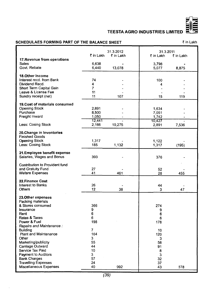

## **SCHEDULAES FORMING PART OF THE BALANCE SHEET** ₹ in Lakh

|                                                                                                                                                                                                                                                                                                                                                                   | ₹ in Lakh                                                                           | 31.3.2012<br>₹ in Lakh | 31.3.2011<br>₹ in Lakh                                                              | ₹ in Lakh |
|-------------------------------------------------------------------------------------------------------------------------------------------------------------------------------------------------------------------------------------------------------------------------------------------------------------------------------------------------------------------|-------------------------------------------------------------------------------------|------------------------|-------------------------------------------------------------------------------------|-----------|
| 17. Revenue from operations<br><b>Sales</b><br>Govt. Rebate                                                                                                                                                                                                                                                                                                       | 6,638<br>6,440                                                                      | 13,078                 | 3,798<br>5,077                                                                      | 8,875     |
| <b>18.Other Income</b><br>Interest recd. from Bank<br>Dividend Recd.<br>Short Term Capital Gain<br>Leave & License Fee<br>Sundry receipt (net)                                                                                                                                                                                                                    | 74<br>4<br>$\overline{7}$<br>11<br>11                                               | 107                    | 100<br>4<br>15                                                                      | 119       |
| 19. Cost of materials consumed<br><b>Opening Stock</b><br>Purchase<br>Freight Inward                                                                                                                                                                                                                                                                              | 2,891<br>8,500<br>1.050                                                             |                        | 1,634<br>7,051<br>1.742                                                             |           |
| Less: Cosing Stock                                                                                                                                                                                                                                                                                                                                                | 12,441<br>2,166                                                                     | 10,275                 | 10,427<br>2,891                                                                     | 7,536     |
| 20.Change in Inventories<br><b>Finished Goods</b><br><b>Opening Stock</b><br>Less: Cosing Stock                                                                                                                                                                                                                                                                   | 1,317<br>185                                                                        | 1,132                  | 1,122<br>1,317                                                                      | (195)     |
| 21.Employee benefit expense<br>Salaries, Wages and Bonus                                                                                                                                                                                                                                                                                                          | 393                                                                                 |                        | 376                                                                                 |           |
| <b>Contribution to Provident fund</b><br>and Gratuity Fund<br><b>Wefare Expenses</b>                                                                                                                                                                                                                                                                              | 27<br>41                                                                            | 461                    | 52<br>28                                                                            | 455       |
| 22. Finance Cost<br><b>Interest to Banks</b><br><b>Others</b>                                                                                                                                                                                                                                                                                                     | 26<br>12                                                                            | 38                     | 44<br>3                                                                             | 47        |
| 23. Other expenses<br>Packing materials<br>& Stores consumed<br>Insurance<br>Rent<br>Rates & Taxes<br>Power & Fuel<br>Repairs and Maintenance:<br>Buildina<br>Plant and Maintenance<br>Other<br>Marketing/publicity<br>Carriage Outward<br>Service Tax Paid<br>Payment to Auditors<br><b>Bank Charges</b><br><b>Travelling Expenses</b><br>Miscellaneous Expenses | 366<br>9<br>6<br>6<br>198<br>7<br>164<br>3<br>55<br>44<br>10<br>3<br>57<br>24<br>40 | 992                    | 274<br>9<br>6<br>6<br>178<br>10<br>120<br>3<br>58<br>91<br>8<br>3<br>32<br>37<br>43 | 878       |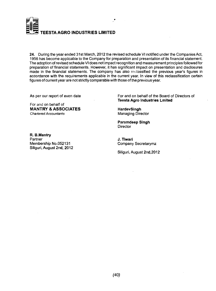

24. During the year ended 31st March, 2012 the revised schedule VI notified under the Companies Act, 1956 has become applicable to the Company for preparation and presentation of its financial statement. The adoption of revised schedule VI does not impact recognition and measurement principles followed for preparation of financial statements. However, it has significant impact on presentation and disclosures made in the financial statements. The company has also reclassified the previous year's figures in accordance with the requirements applicable in the current year. In view of this reclassification certain figures of current year are not strictly comparable with those of the previous year.

As per our report of even date

For and on behalf of **MANTRY & ASSOCIATES** *Chartered Accountants*

For and on behalf of the Board of Directors of **Teesta Agro Industries Lmited**

**HardevSlngh** Managing Director

**Paramdeep Singh Director** 

**J. Tiwari** Company Secretarymz

Siliguri, August 2nd,2012

**R. B.Mantry Partner** Membership No.052131 Siliguri, August 2nd, 2012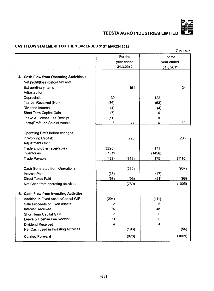

## **CASH FLOW STATEMENT FOR THE YEAR ENDED 31ST MARCH,2012**

| ₹ in Lakh                                     |                |           |        |            |  |
|-----------------------------------------------|----------------|-----------|--------|------------|--|
|                                               |                | For the   |        | For the    |  |
|                                               | year ended     |           |        | year ended |  |
|                                               |                | 31.3.2012 |        | 31.3.2011  |  |
|                                               |                |           |        |            |  |
| A. Cash Flow from Operating Activities :      |                |           |        |            |  |
| Net profit/(loss) before tax and              |                |           |        |            |  |
| <b>Extraordinary Items</b>                    |                | 151       |        | 134        |  |
| Adjusted for:                                 |                |           |        |            |  |
| Depreciation                                  | 130            |           | 122    |            |  |
| Interest Received (Net)                       | (36)           |           | (53)   |            |  |
| Dividend Income                               | (4)            |           | (4)    |            |  |
| Short Term Capital Gain                       | (7)            |           | 0      |            |  |
| Leave & License Fee Receipt                   | (11)           |           | 0      |            |  |
| Loss/(Profit) on Sale of Assets               | 5              | 77        | 4      | 69         |  |
|                                               |                |           |        |            |  |
| Operating Profit before changes               |                |           |        |            |  |
| in Working Capital:                           |                | 228       |        | 203        |  |
| Adjustments for:                              |                |           |        |            |  |
| Trade and other receivables                   | (2295)         |           | 171    |            |  |
| Inventories                                   | 1811           |           | (1456) |            |  |
| <b>Trade Payable</b>                          | (429)          | (913)     | 175    | (1110)     |  |
|                                               |                |           |        |            |  |
| Cash Generated from Operations                |                | (685)     |        | (907)      |  |
| <b>Interest Paid</b>                          | (38)           |           | (47)   |            |  |
| <b>Direct Taxes Paid</b>                      | (57)           | (95)      | (51)   | (98)       |  |
| Net Cash from operating activities            |                | (780)     |        | (1005)     |  |
|                                               |                |           |        |            |  |
| <b>B. Cash Flow from Investing Activities</b> |                |           |        |            |  |
| Addition to Fixed Assets/Capital WIP          | (294)          |           | (111)  |            |  |
| Sale Proceeds of Fixed Assets                 | $\overline{2}$ |           | 5      |            |  |
| <b>Interest Received</b>                      | 74             |           | 48     |            |  |
| Short Term Capital Gain                       | 7              |           | 0      |            |  |
| Leave & License Fee Receipt                   | 11             |           | 0      |            |  |
| <b>Dividend Received</b>                      | 4              |           | 4      |            |  |
| Net Cash used in Investing Activities         |                | (196)     |        | (54)       |  |
| <b>Carried Forward</b>                        |                | (976)     |        | (1059)     |  |
|                                               |                |           |        |            |  |

 $\sim 10^7$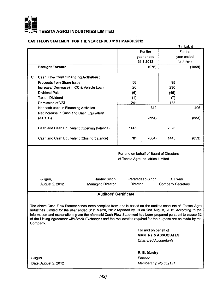

## $\overline{\mathbf{z}}$  TEESTA AGRO INDUSTRIES LIMITED

#### **CASH FLOW STATEMENT FOR THE YEAR ENDED 31ST MARCH.2012**

|                                                                                                                                                                                                                                                                                                                                                                                                                                                                       |                                                   |                                   |                              |                                | <u>(र in Lakh)</u> |
|-----------------------------------------------------------------------------------------------------------------------------------------------------------------------------------------------------------------------------------------------------------------------------------------------------------------------------------------------------------------------------------------------------------------------------------------------------------------------|---------------------------------------------------|-----------------------------------|------------------------------|--------------------------------|--------------------|
|                                                                                                                                                                                                                                                                                                                                                                                                                                                                       |                                                   | For the                           |                              |                                | For the            |
|                                                                                                                                                                                                                                                                                                                                                                                                                                                                       |                                                   |                                   | year ended                   | year ended                     |                    |
|                                                                                                                                                                                                                                                                                                                                                                                                                                                                       |                                                   |                                   | 31.3.2012                    |                                | 31.3.2011          |
|                                                                                                                                                                                                                                                                                                                                                                                                                                                                       | <b>Brought Forward</b>                            |                                   | (976)                        |                                | (1059)             |
|                                                                                                                                                                                                                                                                                                                                                                                                                                                                       |                                                   |                                   |                              |                                |                    |
|                                                                                                                                                                                                                                                                                                                                                                                                                                                                       | C. Cash Flow from Financing Activities :          |                                   |                              |                                |                    |
|                                                                                                                                                                                                                                                                                                                                                                                                                                                                       | Proceeds from Share Issue                         | 58                                |                              | 95                             |                    |
|                                                                                                                                                                                                                                                                                                                                                                                                                                                                       | Increase/(Decrease) in CC & Vehicle Loan          | 20                                |                              | 230                            |                    |
|                                                                                                                                                                                                                                                                                                                                                                                                                                                                       | Dividend Paid                                     | (6)                               |                              | (45)                           |                    |
|                                                                                                                                                                                                                                                                                                                                                                                                                                                                       | Tax on Dividend                                   | (1)                               |                              | (7)                            |                    |
|                                                                                                                                                                                                                                                                                                                                                                                                                                                                       | Remission of VAT                                  | 241                               |                              | 133                            |                    |
|                                                                                                                                                                                                                                                                                                                                                                                                                                                                       | Net cash used in Financing Activities             |                                   | 312                          |                                | 406                |
|                                                                                                                                                                                                                                                                                                                                                                                                                                                                       | Net increase in Cash and Cash Equivalent          |                                   |                              |                                |                    |
|                                                                                                                                                                                                                                                                                                                                                                                                                                                                       | $(A+B+C)$                                         |                                   | (664)                        |                                | (653)              |
|                                                                                                                                                                                                                                                                                                                                                                                                                                                                       |                                                   |                                   |                              |                                |                    |
|                                                                                                                                                                                                                                                                                                                                                                                                                                                                       | Cash and Cash Equivalent (Opening Balance)        | 1445                              |                              | 2098                           |                    |
|                                                                                                                                                                                                                                                                                                                                                                                                                                                                       |                                                   |                                   |                              |                                |                    |
|                                                                                                                                                                                                                                                                                                                                                                                                                                                                       | Cash and Cash Equivalent (Closing Balance)        | 781                               | (664)                        | 1445                           | (653)              |
| For and on behalf of Board of Directors                                                                                                                                                                                                                                                                                                                                                                                                                               |                                                   |                                   |                              |                                |                    |
|                                                                                                                                                                                                                                                                                                                                                                                                                                                                       |                                                   | of Teesta Agro Industries Limited |                              |                                |                    |
|                                                                                                                                                                                                                                                                                                                                                                                                                                                                       |                                                   |                                   |                              |                                |                    |
|                                                                                                                                                                                                                                                                                                                                                                                                                                                                       |                                                   |                                   |                              |                                |                    |
|                                                                                                                                                                                                                                                                                                                                                                                                                                                                       |                                                   |                                   |                              |                                |                    |
|                                                                                                                                                                                                                                                                                                                                                                                                                                                                       | Siliguri,<br><b>Hardev Singh</b>                  |                                   | Paramdeep Singh              | J. Tiwari                      |                    |
|                                                                                                                                                                                                                                                                                                                                                                                                                                                                       | <b>Managing Director</b><br><b>August 2, 2012</b> | Director                          |                              | Company Secretary              |                    |
|                                                                                                                                                                                                                                                                                                                                                                                                                                                                       |                                                   |                                   |                              |                                |                    |
|                                                                                                                                                                                                                                                                                                                                                                                                                                                                       | <b>Auditors' Certificate</b>                      |                                   |                              |                                |                    |
|                                                                                                                                                                                                                                                                                                                                                                                                                                                                       |                                                   |                                   |                              |                                |                    |
| The above Cash Flow Statement has been compiled from and is based on the audited accounts of Teesta Agro<br>Industries Limited for the year ended 31st March, 2012 reported by us on 2nd August, 2012. According to the<br>information and explanations given the aforesaid Cash Flow Statement has been prepared pursuant to clause 32<br>of the Listing Agreement with Stock Exchanges and the reallocation required for the purpose are as made by the<br>Company. |                                                   |                                   |                              |                                |                    |
|                                                                                                                                                                                                                                                                                                                                                                                                                                                                       |                                                   |                                   | For and on behalf of         |                                |                    |
|                                                                                                                                                                                                                                                                                                                                                                                                                                                                       |                                                   |                                   |                              | <b>MANTRY &amp; ASSOCIATES</b> |                    |
|                                                                                                                                                                                                                                                                                                                                                                                                                                                                       |                                                   |                                   | <b>Chartered Accountants</b> |                                |                    |
|                                                                                                                                                                                                                                                                                                                                                                                                                                                                       |                                                   |                                   |                              |                                |                    |
|                                                                                                                                                                                                                                                                                                                                                                                                                                                                       |                                                   |                                   | R. B. Mantry                 |                                |                    |
| Siliguri,                                                                                                                                                                                                                                                                                                                                                                                                                                                             |                                                   |                                   | Partner                      |                                |                    |
|                                                                                                                                                                                                                                                                                                                                                                                                                                                                       | Date: August 2, 2012                              |                                   | Membership No.052131         |                                |                    |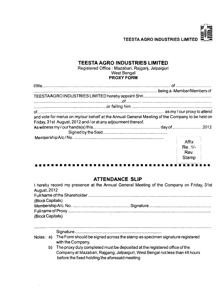**E** \$2

## **TEESTAAGRO INDUSTRIES LIMITED**

**Registered Office ; Mazabari, Rajganj, Jalpaiguri West Bengal PROXY FORM**

| and vote for me/us on my/our behalf at the Annual General Meeting of the Company to be held on |         |  |
|------------------------------------------------------------------------------------------------|---------|--|
| Friday, 31st August, 2012 and / or at any adjourment thereof.                                  |         |  |
|                                                                                                |         |  |
|                                                                                                |         |  |
|                                                                                                |         |  |
|                                                                                                | Affix   |  |
|                                                                                                | Re. 1/- |  |
|                                                                                                | Rev.    |  |
|                                                                                                | Stamp   |  |

## **ATTENDANCE SLIP**

|                     | I hereby record my presence at the Annual General Meeting of the Company on Friday, 31st |  |
|---------------------|------------------------------------------------------------------------------------------|--|
| <b>August, 2012</b> |                                                                                          |  |
|                     |                                                                                          |  |
| (Block Capitals)    |                                                                                          |  |
|                     |                                                                                          |  |
|                     |                                                                                          |  |
| (Block Capitals)    |                                                                                          |  |
|                     |                                                                                          |  |
|                     |                                                                                          |  |
|                     |                                                                                          |  |

#### **Notes: a) The Form should be signed across the stamp as specimen signature registered with the Company.**

**b) The proxy duly completed must be deposited at the registered office ofthe Company at Mazabari, Rajgang, Jalpaiguri, West Bengal not less than 48 hours before the fixed holding the aforesaid meeting**